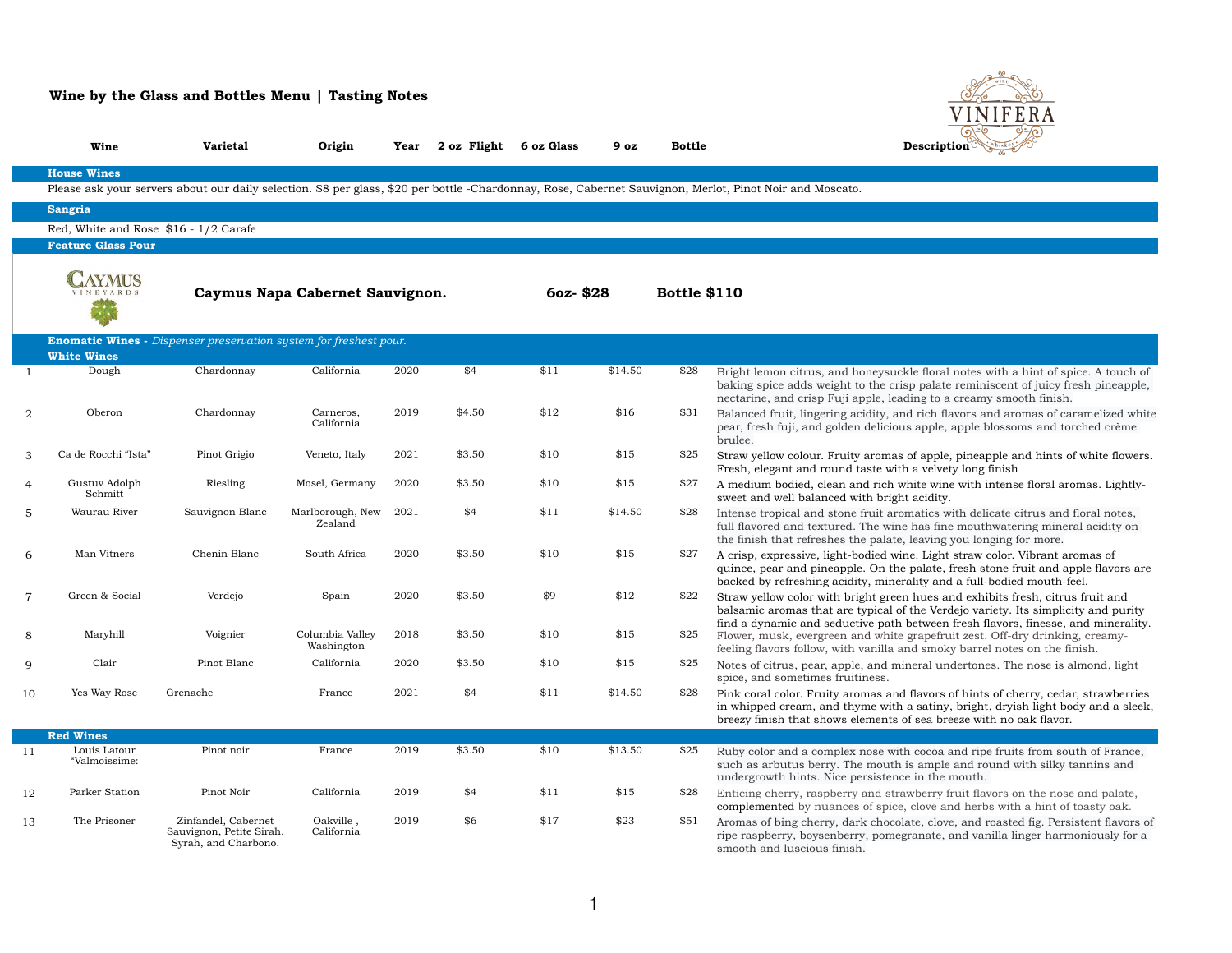|                | Wine                                  | <b>Varietal</b>                                                          | Origin                          | Year | 2 oz Flight | 6 oz Glass  | 9 oz    | <b>Bottle</b>       | Description                                                                                                                                              |
|----------------|---------------------------------------|--------------------------------------------------------------------------|---------------------------------|------|-------------|-------------|---------|---------------------|----------------------------------------------------------------------------------------------------------------------------------------------------------|
|                | <b>House Wines</b>                    |                                                                          |                                 |      |             |             |         |                     |                                                                                                                                                          |
|                |                                       |                                                                          |                                 |      |             |             |         |                     | Please ask your servers about our daily selection. \$8 per glass, \$20 per bottle -Chardonnay, Rose, Cabernet Sauvignon, Merlot, Pinot Noir and Moscato. |
|                | <b>Sangria</b>                        |                                                                          |                                 |      |             |             |         |                     |                                                                                                                                                          |
|                | Red, White and Rose \$16 - 1/2 Carafe |                                                                          |                                 |      |             |             |         |                     |                                                                                                                                                          |
|                | <b>Feature Glass Pour</b>             |                                                                          |                                 |      |             |             |         |                     |                                                                                                                                                          |
|                |                                       |                                                                          | Caymus Napa Cabernet Sauvignon. |      |             | $60z - $28$ |         | <b>Bottle \$110</b> |                                                                                                                                                          |
|                |                                       | <b>Enomatic Wines -</b> Dispenser preservation system for freshest pour. |                                 |      |             |             |         |                     |                                                                                                                                                          |
|                | <b>White Wines</b>                    |                                                                          |                                 |      |             |             |         |                     |                                                                                                                                                          |
|                | Dough                                 | Chardonnay                                                               | California                      | 2020 | \$4         | \$11        | \$14.50 | \$28                | Bright lemon citrus, and honeysuckle floral not<br>baking spice adds weight to the crisp palate rea<br>nectarine, and crisp Fuji apple, leading to a cre |
| $\overline{2}$ | Oberon                                | Chardonnay                                                               | Carneros,<br>California         | 2019 | \$4.50      | \$12        | \$16    | \$31                | Balanced fruit, lingering acidity, and rich flavor<br>pear, fresh fuji, and golden delicious apple, app<br>brulee.                                       |
| 3              | Ca de Rocchi "Ista"                   | Pinot Grigio                                                             | Veneto, Italy                   | 2021 | \$3.50      | \$10        | \$15    | \$25                | Straw yellow colour. Fruity aromas of apple, pii<br>Fresh, elegant and round taste with a velvety lo                                                     |
| 4              | Gustuv Adolph<br>Schmitt              | Riesling                                                                 | Mosel, Germany                  | 2020 | \$3.50      | \$10        | \$15    | \$27                | A medium bodied, clean and rich white wine wi<br>sweet and well balanced with bright acidity.                                                            |
| 5              | Waurau River                          | Sauvignon Blanc                                                          | Marlborough, New<br>Zealand     | 2021 | \$4         | \$11        | \$14.50 | \$28                | Intense tropical and stone fruit aromatics with<br>full flavored and textured. The wine has fine me<br>the finish that refreshes the palate, leaving you |
| 6              | Man Vitners                           | Chenin Blanc                                                             | South Africa                    | 2020 | \$3.50      | \$10        | \$15    | \$27                | A crisp, expressive, light-bodied wine. Light str<br>quince, pear and pineapple. On the palate, fres<br>backed by refreshing acidity, minerality and a f |
| $\overline{7}$ | Green & Social                        | Verdejo                                                                  | Spain                           | 2020 | \$3.50      | \$9         | \$12    | \$22                | Straw yellow color with bright green hues and<br>balsamic aromas that are typical of the Verdejo                                                         |
| 8              | Maryhill                              | Voignier                                                                 | Columbia Valley<br>Washington   | 2018 | \$3.50      | \$10        | \$15    | \$25                | find a dynamic and seductive path between free<br>Flower, musk, evergreen and white grapefruit z<br>feeling flavors follow, with vanilla and smoky ba    |
| 9              | Clair                                 | Pinot Blanc                                                              | California                      | 2020 | \$3.50      | \$10        | \$15    | \$25                | Notes of citrus, pear, apple, and mineral under<br>spice, and sometimes fruitiness.                                                                      |
| 10             | Yes Way Rose                          | Grenache                                                                 | France                          | 2021 | \$4         | \$11        | \$14.50 | \$28                | Pink coral color. Fruity aromas and flavors of h<br>in whipped cream, and thyme with a satiny, br<br>breezy finish that shows elements of sea breeze     |
|                | <b>Red Wines</b>                      |                                                                          |                                 |      |             |             |         |                     |                                                                                                                                                          |
| 11             | Louis Latour<br>"Valmoissime:         | Pinot noir                                                               | France                          | 2019 | \$3.50      | \$10        | \$13.50 | \$25                | Ruby color and a complex nose with cocoa and<br>such as arbutus berry. The mouth is ample and<br>undergrowth hints. Nice persistence in the mount        |
| 12             | Parker Station                        | Pinot Noir                                                               | California                      | 2019 | \$4         | \$11        | \$15    | \$28                | Enticing cherry, raspberry and strawberry fruit<br>complemented by nuances of spice, clove and h                                                         |
| 13             | The Prisoner                          | Zinfandel, Cabernet<br>Sauvignon, Petite Sirah,<br>Syrah, and Charbono.  | Oakville,<br>California         | 2019 | \$6         | \$17        | \$23    | \$51                | Aromas of bing cherry, dark chocolate, clove, a<br>ripe raspberry, boysenberry, pomegranate, and<br>smooth and luscious finish.                          |

## **Wine by the Glass and Bottles Menu | Tasting Notes**



right Chardon California 2020  $\mu$  and the floral notes with a hint of spice. A touch of risp palate reminiscent of juicy fresh pineapple, eading to a creamy smooth finish.

and rich flavors and aromas of caramelized white pus apple, apple blossoms and torched crème

as of apple, pineapple and hints of white flowers. ith a velvety long finish

white wine with intense floral aromas. Lightlythe acidity.

romatics with delicate citrus and floral notes, ne has fine mouthwatering mineral acidity on te, leaving you longing for more.

wine. Light straw color. Vibrant aromas of he palate, fresh stone fruit and apple flavors are erality and a full-bodied mouth-feel.

een hues and exhibits fresh, citrus fruit and of the Verdejo variety. Its simplicity and purity h between fresh flavors, finesse, and minerality. te grapefruit zest. Off-dry drinking, creamyand smoky barrel notes on the finish.

mineral undertones. The nose is almond, light

nd flavors of hints of cherry, cedar, strawberries th a satiny, bright, dryish light body and a sleek, of sea breeze with no oak flavor.

<sup>ith</sup> cocoa and ripe fruits from south of France, h is ample and round with silky tannins and nce in the mouth.

rawberry fruit flavors on the nose and palate, ce, clove and herbs with a hint of toasty oak. colate, clove, and roasted fig. Persistent flavors of regranate, and vanilla linger harmoniously for a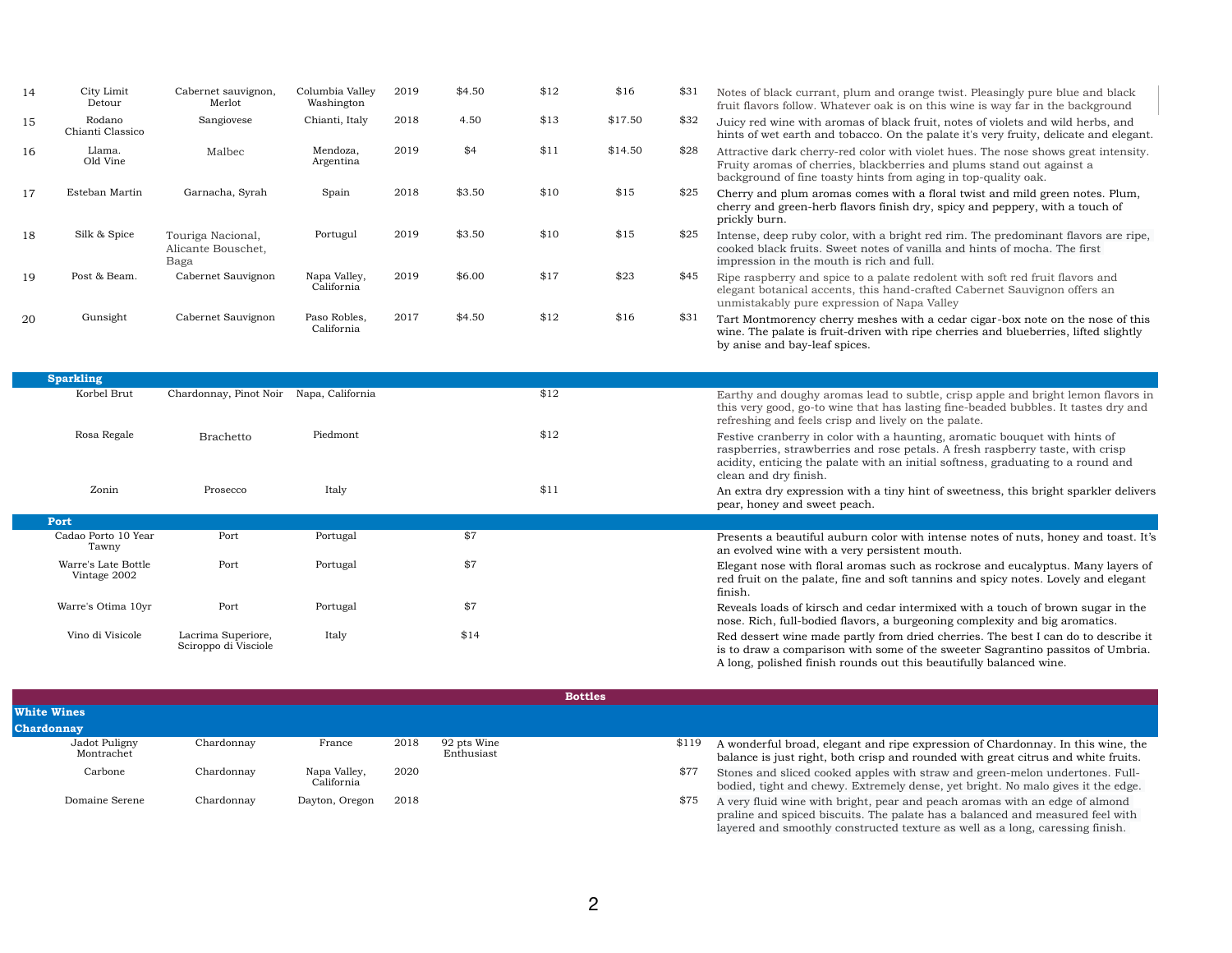| 14 | City Limit<br>Detour                | Cabernet sauvignon,<br>Merlot                   | Columbia Valley<br>Washington | 2019 | \$4.50 | \$12 | \$16    | \$31 | Notes of black currant, plum and<br>fruit flavors follow. Whatever oak                                                                   |
|----|-------------------------------------|-------------------------------------------------|-------------------------------|------|--------|------|---------|------|------------------------------------------------------------------------------------------------------------------------------------------|
| 15 | Rodano<br>Chianti Classico          | Sangiovese                                      | Chianti, Italy                | 2018 | 4.50   | \$13 | \$17.50 | \$32 | Juicy red wine with aromas of bla<br>hints of wet earth and tobacco. O                                                                   |
| 16 | Llama.<br>Old Vine                  | Malbec                                          | Mendoza,<br>Argentina         | 2019 | \$4    | \$11 | \$14.50 | \$28 | Attractive dark cherry-red color w<br>Fruity aromas of cherries, blackb<br>background of fine toasty hints fr                            |
| 17 | Esteban Martin                      | Garnacha, Syrah                                 | Spain                         | 2018 | \$3.50 | \$10 | \$15    | \$25 | Cherry and plum aromas comes v<br>cherry and green-herb flavors fini<br>prickly burn.                                                    |
| 18 | Silk & Spice                        | Touriga Nacional,<br>Alicante Bouschet,<br>Baga | Portugul                      | 2019 | \$3.50 | \$10 | \$15    | \$25 | Intense, deep ruby color, with a b<br>cooked black fruits. Sweet notes<br>impression in the mouth is rich a                              |
| 19 | Post & Beam.                        | Cabernet Sauvignon                              | Napa Valley,<br>California    | 2019 | \$6.00 | \$17 | \$23    | \$45 | Ripe raspberry and spice to a pala<br>elegant botanical accents, this ha<br>unmistakably pure expression of                              |
| 20 | Gunsight                            | Cabernet Sauvignon                              | Paso Robles,<br>California    | 2017 | \$4.50 | \$12 | \$16    | \$31 | Tart Montmorency cherry meshes<br>wine. The palate is fruit-driven wi<br>by anise and bay-leaf spices.                                   |
|    | <b>Sparkling</b>                    |                                                 |                               |      |        |      |         |      |                                                                                                                                          |
|    | Korbel Brut                         | Chardonnay, Pinot Noir                          | Napa, California              |      |        | \$12 |         |      |                                                                                                                                          |
|    |                                     |                                                 |                               |      |        |      |         |      | Earthy and doughy aromas lead t<br>this very good, go-to wine that ha<br>refreshing and feels crisp and live                             |
|    | Rosa Regale                         | <b>Brachetto</b>                                | Piedmont                      |      |        | \$12 |         |      | Festive cranberry in color with a l<br>raspberries, strawberries and ros<br>acidity, enticing the palate with a<br>clean and dry finish. |
|    | Zonin                               | Prosecco                                        | Italy                         |      |        | \$11 |         |      | An extra dry expression with a tir<br>pear, honey and sweet peach.                                                                       |
|    | Port                                |                                                 |                               |      |        |      |         |      |                                                                                                                                          |
|    | Cadao Porto 10 Year<br>Tawny        | Port                                            | Portugal                      |      | \$7    |      |         |      | Presents a beautiful auburn color<br>an evolved wine with a very persis                                                                  |
|    | Warre's Late Bottle<br>Vintage 2002 | Port                                            | Portugal                      |      | \$7    |      |         |      | Elegant nose with floral aromas s<br>red fruit on the palate, fine and so<br>finish.                                                     |
|    | Warre's Otima 10yr                  | Port                                            | Portugal                      |      | \$7    |      |         |      | Reveals loads of kirsch and cedar<br>nose. Rich, full-bodied flavors, a l                                                                |
|    | Vino di Visicole                    | Lacrima Superiore,<br>Sciroppo di Visciole      | Italy                         |      | \$14   |      |         |      | Red dessert wine made partly from<br>is to draw a comparison with som<br>A long, polished finish rounds ou                               |
|    |                                     |                                                 |                               |      |        |      |         |      |                                                                                                                                          |

ipe expression of Chardonnay. In this wine, the nd rounded with great citrus and white fruits. with straw and green-melon undertones. Fullbodied, the edge. Extremely dense, yet bright. No malo gives it the edge. r and peach aromas with an edge of almond palate has a balanced and measured feel with layered and smoothly constructed texture as well as a long, caressing finish.

|                             |            |                            |      |                           | <b>Bottles</b> |       |                                                                            |
|-----------------------------|------------|----------------------------|------|---------------------------|----------------|-------|----------------------------------------------------------------------------|
| <b>White Wines</b>          |            |                            |      |                           |                |       |                                                                            |
| <b>Chardonnay</b>           |            |                            |      |                           |                |       |                                                                            |
| Jadot Puligny<br>Montrachet | Chardonnay | France                     | 2018 | 92 pts Wine<br>Enthusiast |                | \$119 | A wonderful broad, elegant and ri<br>balance is just right, both crisp and |
| Carbone                     | Chardonnay | Napa Valley,<br>California | 2020 |                           |                | \$77  | Stones and sliced cooked apples v<br>bodied, tight and chewy. Extreme      |
| Domaine Serene              | Chardonnay | Dayton, Oregon             | 2018 |                           |                | \$75  | A very fluid wine with bright, pear<br>praline and spiced biscuits. The p  |

orange twist. Pleasingly pure blue and black is on this wine is way far in the background ack fruit, notes of violets and wild herbs, and In the palate it's very fruity, delicate and elegant. vith violet hues. The nose shows great intensity. erries and plums stand out against a om aging in top-quality oak.

with a floral twist and mild green notes. Plum, ish dry, spicy and peppery, with a touch of

portugular 2015 interpredominant flavors are ripe, with red rim. The predominant flavors are ripe, of vanilla and hints of mocha. The first ind full.

ate redolent with soft red fruit flavors and and-crafted Cabernet Sauvignon offers an Napa Valley

with a cedar cigar-box note on the nose of this ith ripe cherries and blueberries, lifted slightly

to subtle, crisp apple and bright lemon flavors in is lasting fine-beaded bubbles. It tastes dry and ely on the palate.

haunting, aromatic bouquet with hints of e petals. A fresh raspberry taste, with crisp in initial softness, graduating to a round and

ay hint of sweetness, this bright sparkler delivers

r with intense notes of nuts, honey and toast. It's stent mouth.

uch as rockrose and eucalyptus. Many layers of oft tannins and spicy notes. Lovely and elegant

intermixed with a touch of brown sugar in the burgeoning complexity and big aromatics.

m dried cherries. The best I can do to describe it is to draw a comparison with some of the sweeter Sagrantino passitos of Umbria. t this beautifully balanced wine.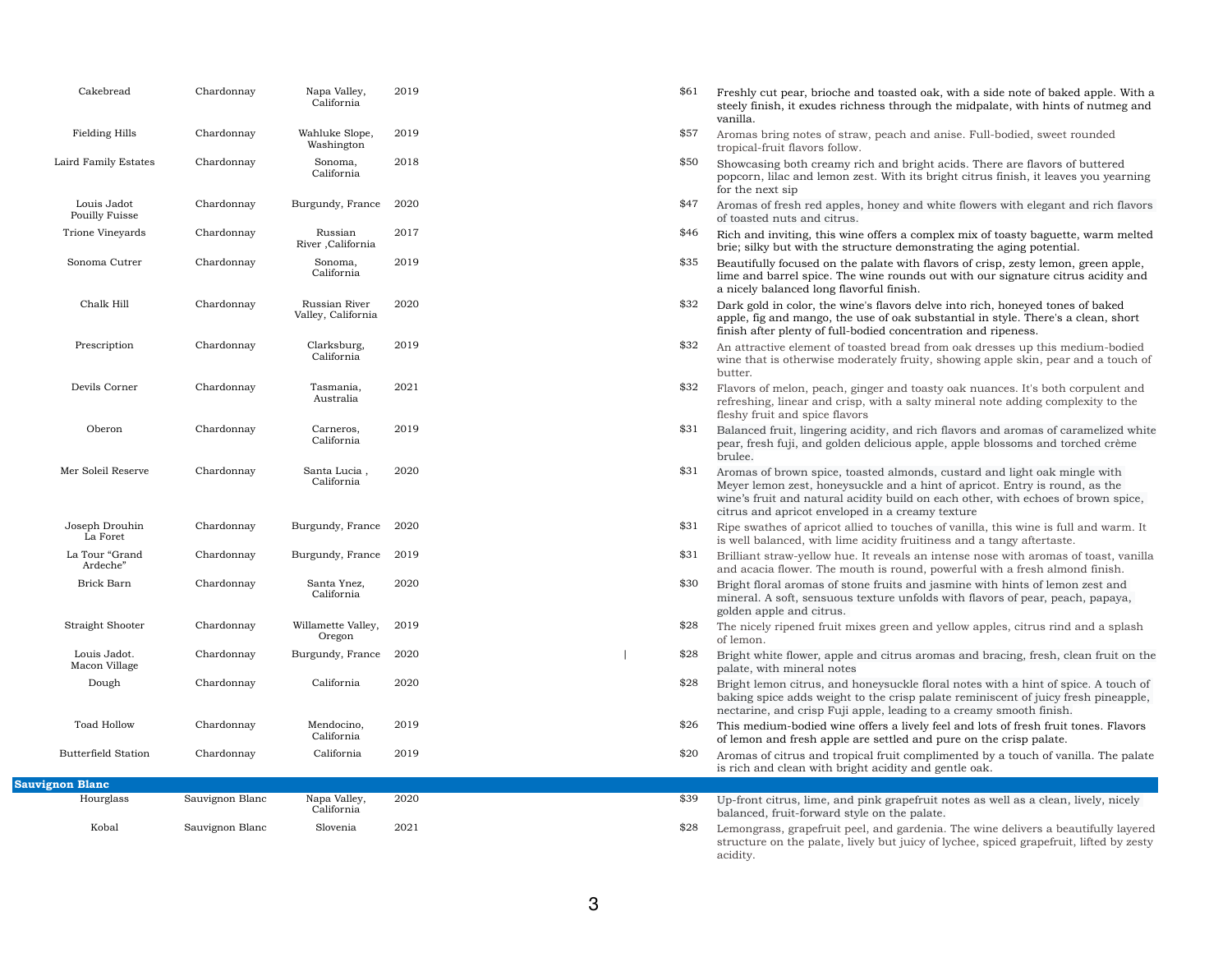## \$61 Freshly cut pear, brioche and toasted oak, with a side note of baked apple. With a steely finish, it exudes richness through the midpalate, with hints of nutmeg and

\$57 Aromas bring notes of straw, peach and anise. Full-bodied, sweet rounded

\$50 Showcasing both creamy rich and bright acids. There are flavors of buttered popcorn, lilac and lemon zest. With its bright citrus finish, it leaves you yearning

\$47 Aromas of fresh red apples, honey and white flowers with elegant and rich flavors

 $$46$  Rich and inviting, this wine offers a complex mix of toasty baguette, warm melted brie; silky but with the structure demonstrating the aging potential.

\$32 Flavors of melon, peach, ginger and toasty oak nuances. It's both corpulent and refreshing, linear and crisp, with a salty mineral note adding complexity to the

\$31 Balanced fruit, lingering acidity, and rich flavors and aromas of caramelized white pear, fresh fuji, and golden delicious apple, apple blossoms and torched crème

lime and barrel spice. The wine rounds out with our signature citrus acidity and

\$31 Aromas of brown spice, toasted almonds, custard and light oak mingle with Meyer lemon zest, honeysuckle and a hint of apricot. Entry is round, as the wine's fruit and natural acidity build on each other, with echoes of brown spice,

apple, fig and mango, the use of oak substantial in style. There's a clean, short

\$31 Brilliant straw-yellow hue. It reveals an intense nose with aromas of toast, vanilla and acacia flower. The mouth is round, powerful with a fresh almond finish.

wine that is otherwise moderately fruity, showing apple skin, pear and a touch of

\$28 Bright lemon citrus, and honeysuckle floral notes with a hint of spice. A touch of baking spice adds weight to the crisp palate reminiscent of juicy fresh pineapple,

 $$20$  Aromas of citrus and tropical fruit complimented by a touch of vanilla. The palate

| Cakebread                            | Chardonnay      | Napa Valley,<br>California          | 2019 |
|--------------------------------------|-----------------|-------------------------------------|------|
| Fielding Hills                       | Chardonnay      | Wahluke Slope,<br>Washington        | 2019 |
| Laird Family Estates                 | Chardonnay      | Sonoma,<br>California               | 2018 |
| Louis Jadot<br><b>Pouilly Fuisse</b> | Chardonnay      | Burgundy, France                    | 2020 |
| Trione Vineyards                     | Chardonnay      | Russian<br>River , California       | 2017 |
| Sonoma Cutrer                        | Chardonnay      | Sonoma,<br>California               | 2019 |
| Chalk Hill                           | Chardonnay      | Russian River<br>Valley, California | 2020 |
| Prescription                         | Chardonnay      | Clarksburg,<br>California           | 2019 |
| Devils Corner                        | Chardonnay      | Tasmania,<br>Australia              | 2021 |
| Oberon                               | Chardonnay      | Carneros,<br>California             | 2019 |
| Mer Soleil Reserve                   | Chardonnay      | Santa Lucia,<br>California          | 2020 |
| Joseph Drouhin<br>La Foret           | Chardonnay      | Burgundy, France                    | 2020 |
| La Tour "Grand<br>Ardeche"           | Chardonnay      | Burgundy, France                    | 2019 |
| Brick Barn                           | Chardonnay      | Santa Ynez,<br>California           | 2020 |
| Straight Shooter                     | Chardonnay      | Willamette Valley,<br>Oregon        | 2019 |
| Louis Jadot.<br>Macon Village        | Chardonnay      | Burgundy, France                    | 2020 |
| Dough                                | Chardonnay      | California                          | 2020 |
| <b>Toad Hollow</b>                   | Chardonnay      | Mendocino,<br>California            | 2019 |
| <b>Butterfield Station</b>           | Chardonnay      | California                          | 2019 |
| <b>Sauvignon Blanc</b>               |                 |                                     |      |
| Hourglass                            | Sauvignon Blanc | Napa Valley,<br>California          | 2020 |
| Kobal                                | Sauvignon Blanc | Slovenia                            | 2021 |

 $$28$  Lemongrass, grapefruit peel, and gardenia. The wine delivers a beautifully layered structure on the palate, lively but juicy of lychee, spiced grapefruit, lifted by zesty

- vanilla.
- tropical-fruit flavors follow.
- for the next sip
- of toasted nuts and citrus.
- 
- \$35 Beautifully focused on the palate with flavors of crisp, zesty lemon, green apple, a nicely balanced long flavorful finish.
- $$32$  Dark gold in color, the wine's flavors delve into rich, honeyed tones of baked finish after plenty of full-bodied concentration and ripeness.
- \$32 An attractive element of toasted bread from oak dresses up this medium-bodied butter.
- fleshy fruit and spice flavors
- brulee.
- citrus and apricot enveloped in a creamy texture
- $$31$  Ripe swathes of apricot allied to touches of vanilla, this wine is full and warm. It is well balanced, with lime acidity fruitiness and a tangy aftertaste.
- 
- \$30 Bright floral aromas of stone fruits and jasmine with hints of lemon zest and mineral. A soft, sensuous texture unfolds with flavors of pear, peach, papaya, golden apple and citrus.
- \$28 The nicely ripened fruit mixes green and yellow apples, citrus rind and a splash of lemon.
- | \$28 Bright white flower, apple and citrus aromas and bracing, fresh, clean fruit on the palate, with mineral notes
- nectarine, and crisp Fuji apple, leading to a creamy smooth finish.
- \$26 This medium-bodied wine offers a lively feel and lots of fresh fruit tones. Flavors of lemon and fresh apple are settled and pure on the crisp palate.
- is rich and clean with bright acidity and gentle oak.
- \$39 Up-front citrus, lime, and pink grapefruit notes as well as a clean, lively, nicely balanced, fruit-forward style on the palate.
- acidity.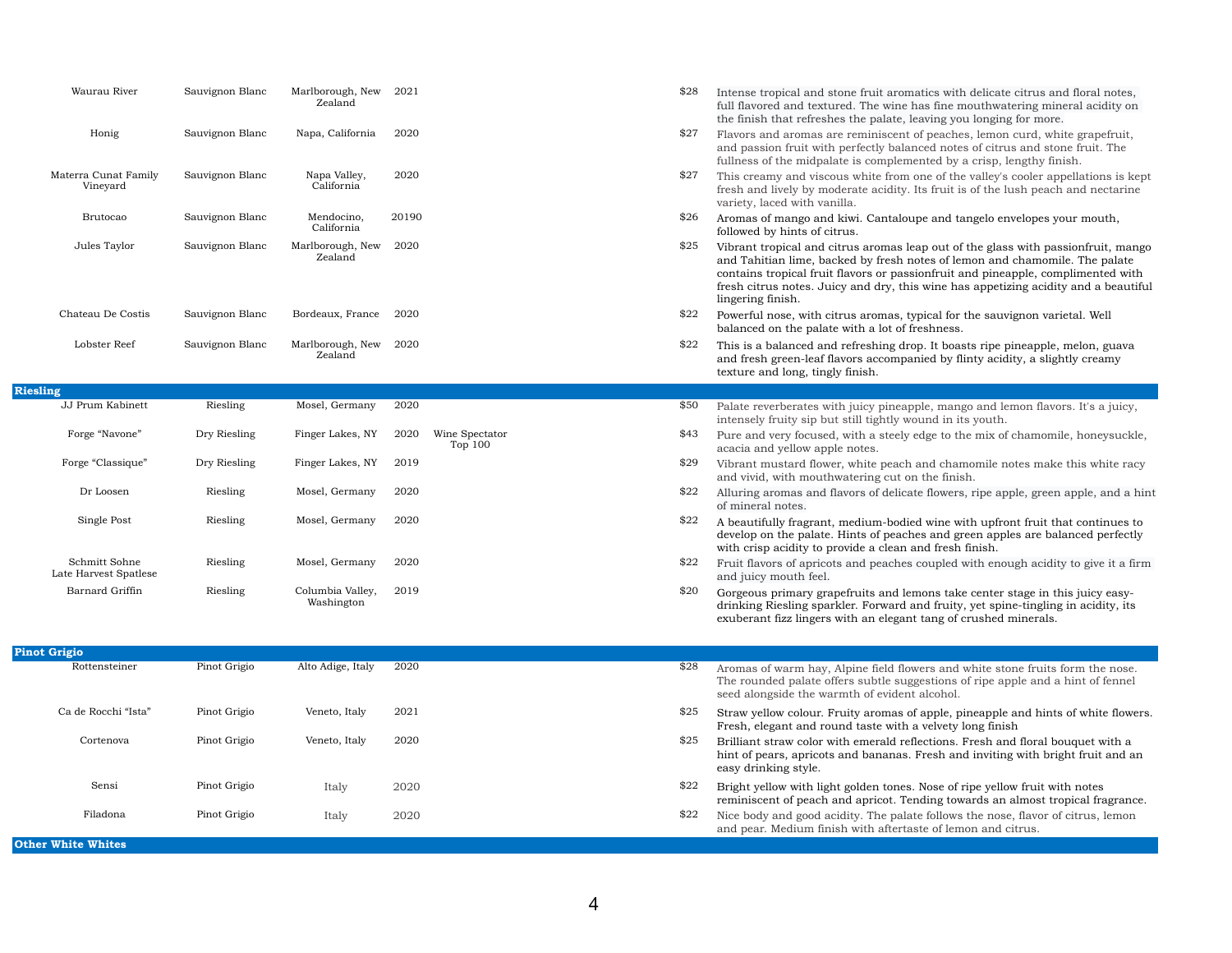| Waurau River                           | Sauvignon Blanc | Marlborough, New<br>Zealand    | 2021  |                           | \$28 | Intense tropical and stone fruit ar<br>full flavored and textured. The wir<br>the finish that refreshes the palate                                                          |
|----------------------------------------|-----------------|--------------------------------|-------|---------------------------|------|-----------------------------------------------------------------------------------------------------------------------------------------------------------------------------|
| Honig                                  | Sauvignon Blanc | Napa, California               | 2020  |                           | \$27 | Flavors and aromas are reminisce<br>and passion fruit with perfectly ba<br>fullness of the midpalate is comple                                                              |
| Materra Cunat Family<br>Vineyard       | Sauvignon Blanc | Napa Valley,<br>California     | 2020  |                           | \$27 | This creamy and viscous white fro<br>fresh and lively by moderate acidi<br>variety, laced with vanilla.                                                                     |
| <b>Brutocao</b>                        | Sauvignon Blanc | Mendocino,<br>California       | 20190 |                           | \$26 | Aromas of mango and kiwi. Canta<br>followed by hints of citrus.                                                                                                             |
| Jules Taylor                           | Sauvignon Blanc | Marlborough, New<br>Zealand    | 2020  |                           | \$25 | Vibrant tropical and citrus aroma<br>and Tahitian lime, backed by fresl<br>contains tropical fruit flavors or p.<br>fresh citrus notes. Juicy and dry,<br>lingering finish. |
| Chateau De Costis                      | Sauvignon Blanc | Bordeaux, France               | 2020  |                           | \$22 | Powerful nose, with citrus aromas<br>balanced on the palate with a lot of                                                                                                   |
| Lobster Reef                           | Sauvignon Blanc | Marlborough, New<br>Zealand    | 2020  |                           | \$22 | This is a balanced and refreshing<br>and fresh green-leaf flavors accom<br>texture and long, tingly finish.                                                                 |
| <b>Riesling</b>                        |                 |                                |       |                           |      |                                                                                                                                                                             |
| JJ Prum Kabinett                       | Riesling        | Mosel, Germany                 | 2020  |                           | \$50 | Palate reverberates with juicy pine<br>intensely fruity sip but still tightly                                                                                               |
| Forge "Navone"                         | Dry Riesling    | Finger Lakes, NY               | 2020  | Wine Spectator<br>Top 100 | \$43 | Pure and very focused, with a stee<br>acacia and yellow apple notes.                                                                                                        |
| Forge "Classique"                      | Dry Riesling    | Finger Lakes, NY               | 2019  |                           | \$29 | Vibrant mustard flower, white pea<br>and vivid, with mouthwatering cu                                                                                                       |
| Dr Loosen                              | Riesling        | Mosel, Germany                 | 2020  |                           | \$22 | Alluring aromas and flavors of del<br>of mineral notes.                                                                                                                     |
| Single Post                            | Riesling        | Mosel, Germany                 | 2020  |                           | \$22 | A beautifully fragrant, medium-bo<br>develop on the palate. Hints of pea<br>with crisp acidity to provide a clea                                                            |
| Schmitt Sohne<br>Late Harvest Spatlese | Riesling        | Mosel, Germany                 | 2020  |                           | \$22 | Fruit flavors of apricots and peach<br>and juicy mouth feel.                                                                                                                |
| Barnard Griffin                        | Riesling        | Columbia Valley,<br>Washington | 2019  |                           | \$20 | Gorgeous primary grapefruits and<br>drinking Riesling sparkler. Forwar<br>exuberant fizz lingers with an eleg                                                               |
| <b>Pinot Grigio</b>                    |                 |                                |       |                           |      |                                                                                                                                                                             |
|                                        |                 |                                |       |                           |      |                                                                                                                                                                             |

**Riesling**

| <u>I mor amsio</u>        |              |                   |      |                                                                                                                   |
|---------------------------|--------------|-------------------|------|-------------------------------------------------------------------------------------------------------------------|
| Rottensteiner             | Pinot Grigio | Alto Adige, Italy | 2020 | \$28<br>Aromas of warm hay, Alpine field<br>The rounded palate offers subtle<br>seed alongside the warmth of evic |
| Ca de Rocchi "Ista"       | Pinot Grigio | Veneto, Italy     | 2021 | \$25<br>Straw yellow colour. Fruity aroma<br>Fresh, elegant and round taste wi                                    |
| Cortenova                 | Pinot Grigio | Veneto, Italy     | 2020 | \$25<br>Brilliant straw color with emerald<br>hint of pears, apricots and banan<br>easy drinking style.           |
| Sensi                     | Pinot Grigio | Italy             | 2020 | \$22<br>Bright yellow with light golden tor<br>reminiscent of peach and apricot.                                  |
| Filadona                  | Pinot Grigio | Italy             | 2020 | \$22<br>Nice body and good acidity. The p<br>and pear. Medium finish with after                                   |
| <b>Other White Whites</b> |              |                   |      |                                                                                                                   |

- romatics with delicate citrus and floral notes, ne has fine mouthwatering mineral acidity on te, leaving you longing for more.
- ent of peaches, lemon curd, white grapefruit, alanced notes of citrus and stone fruit. The lemented by a crisp, lengthy finish.
- om one of the valley's cooler appellations is kept ity. Its fruit is of the lush peach and nectarine

aloupe and tangelo envelopes your mouth,

- as leap out of the glass with passionfruit, mango sh notes of lemon and chamomile. The palate assionfruit and pineapple, complimented with this wine has appetizing acidity and a beautiful
- , typical for the sauvignon varietal. Well of freshness.
- drop. It boasts ripe pineapple, melon, guava and fresh green-leaf flavors and in panied by flinty acidity, a slightly creamy
- eapple, mango and lemon flavors. It's a juicy, wound in its youth.
- ely edge to the mix of chamomile, honeysuckle,
- ach and chamomile notes make this white racy at on the finish.
- licate flowers, ripe apple, green apple, and a hint
- odied wine with upfront fruit that continues to aches and green apples are balanced perfectly  $an$  and fresh finish.
- hes coupled with enough acidity to give it a firm
- lemons take center stage in this juicy easyrd and fruity, yet spine-tingling in acidity, its gant tang of crushed minerals.
- flowers and white stone fruits form the nose. suggestions of ripe apple and a hint of fennel dent alcohol.
- as of apple, pineapple and hints of white flowers. ith a velvety long finish
- reflections. Fresh and floral bouquet with a has. Fresh and inviting with bright fruit and an
- nes. Nose of ripe yellow fruit with notes. Tending towards an almost tropical fragrance. palate follows the nose, flavor of citrus, lemon ertaste of lemon and citrus.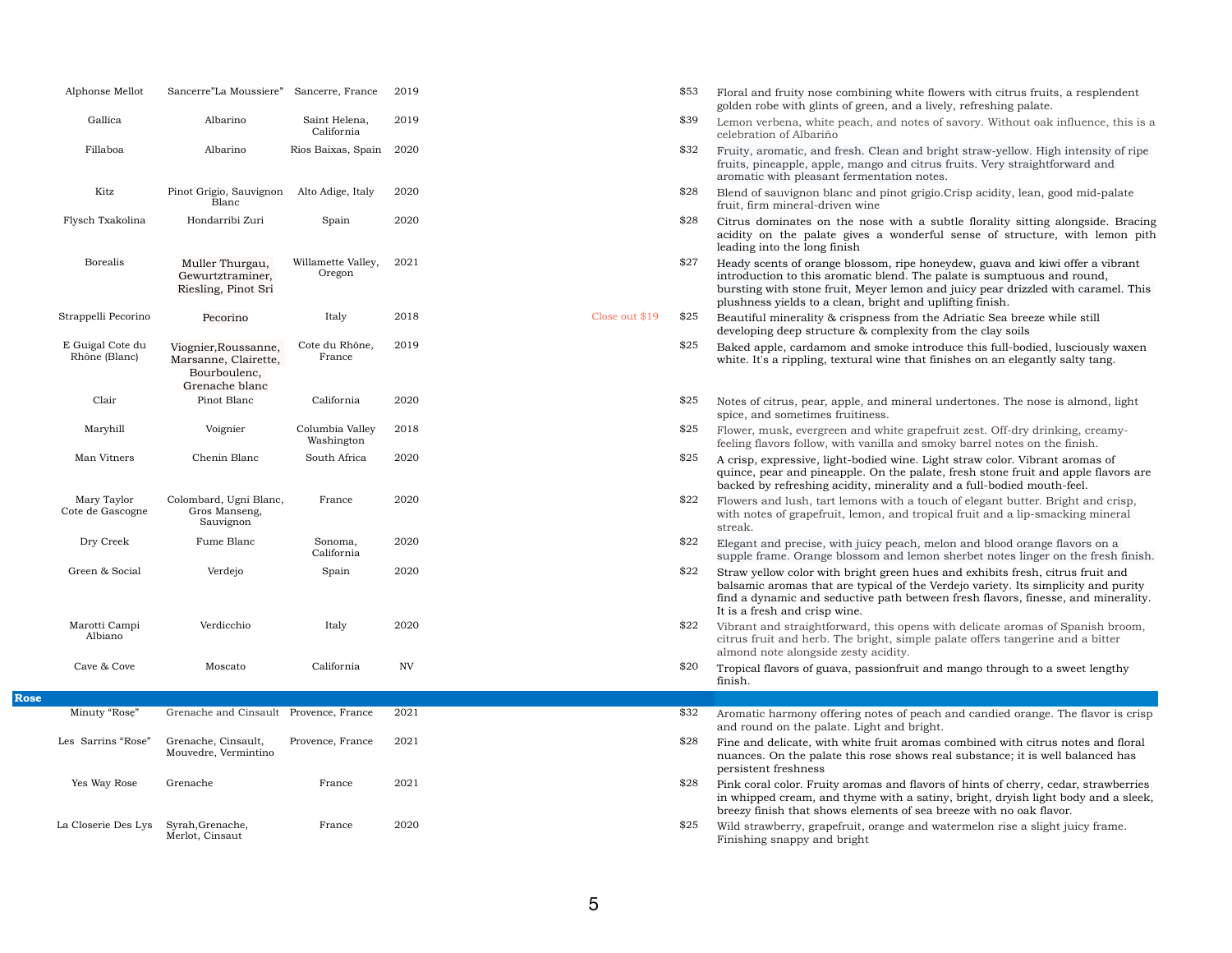| Alphonse Mellot                   | Sancerre"La Moussiere"                                                         | Sancerre, France              | 2019      |                | \$53 | Floral and fruity nose combining whi<br>golden robe with glints of green, and                                                                                   |
|-----------------------------------|--------------------------------------------------------------------------------|-------------------------------|-----------|----------------|------|-----------------------------------------------------------------------------------------------------------------------------------------------------------------|
| Gallica                           | Albarino                                                                       | Saint Helena,<br>California   | 2019      |                | \$39 | Lemon verbena, white peach, and no<br>celebration of Albariño                                                                                                   |
| Fillaboa                          | Albarino                                                                       | Rios Baixas, Spain            | 2020      |                | \$32 | Fruity, aromatic, and fresh. Clean ar<br>fruits, pineapple, apple, mango and o<br>aromatic with pleasant fermentation                                           |
| Kitz                              | Pinot Grigio, Sauvignon<br>Blanc                                               | Alto Adige, Italy             | 2020      |                | \$28 | Blend of sauvignon blanc and pinot<br>fruit, firm mineral-driven wine                                                                                           |
| Flysch Txakolina                  | Hondarribi Zuri                                                                | Spain                         | 2020      |                | \$28 | Citrus dominates on the nose with<br>acidity on the palate gives a won<br>leading into the long finish                                                          |
| <b>Borealis</b>                   | Muller Thurgau,<br>Gewurtztraminer,<br>Riesling, Pinot Sri                     | Willamette Valley,<br>Oregon  | 2021      |                | \$27 | Heady scents of orange blossom, ripe<br>introduction to this aromatic blend.<br>bursting with stone fruit, Meyer lemo<br>plushness yields to a clean, bright ar |
| Strappelli Pecorino               | Pecorino                                                                       | Italy                         | 2018      | Close out \$19 | \$25 | Beautiful minerality & crispness from<br>developing deep structure & complex                                                                                    |
| E Guigal Cote du<br>Rhône (Blanc) | Viognier, Roussanne,<br>Marsanne, Clairette,<br>Bourboulenc,<br>Grenache blanc | Cote du Rhône,<br>France      | 2019      |                | \$25 | Baked apple, cardamom and smoke<br>white. It's a rippling, textural wine the                                                                                    |
| Clair                             | Pinot Blanc                                                                    | California                    | 2020      |                | \$25 | Notes of citrus, pear, apple, and min<br>spice, and sometimes fruitiness.                                                                                       |
| Maryhill                          | Voignier                                                                       | Columbia Valley<br>Washington | 2018      |                | \$25 | Flower, musk, evergreen and white g<br>feeling flavors follow, with vanilla and                                                                                 |
| Man Vitners                       | Chenin Blanc                                                                   | South Africa                  | 2020      |                | \$25 | A crisp, expressive, light-bodied wine<br>quince, pear and pineapple. On the p<br>backed by refreshing acidity, minera                                          |
| Mary Taylor<br>Cote de Gascogne   | Colombard, Ugni Blanc,<br>Gros Manseng,<br>Sauvignon                           | France                        | 2020      |                | \$22 | Flowers and lush, tart lemons with a<br>with notes of grapefruit, lemon, and<br>streak.                                                                         |
| Dry Creek                         | Fume Blanc                                                                     | Sonoma,<br>California         | 2020      |                | \$22 | Elegant and precise, with juicy peach<br>supple frame. Orange blossom and le                                                                                    |
| Green & Social                    | Verdejo                                                                        | Spain                         | 2020      |                | \$22 | Straw yellow color with bright green<br>balsamic aromas that are typical of t<br>find a dynamic and seductive path b<br>It is a fresh and crisp wine.           |
| Marotti Campi<br>Albiano          | Verdicchio                                                                     | Italy                         | 2020      |                | \$22 | Vibrant and straightforward, this ope<br>citrus fruit and herb. The bright, sim<br>almond note alongside zesty acidity.                                         |
| Cave & Cove                       | Moscato                                                                        | California                    | <b>NV</b> |                | \$20 | Tropical flavors of guava, passionfrui<br>finish.                                                                                                               |
|                                   |                                                                                |                               |           |                |      |                                                                                                                                                                 |
| Minuty "Rosę"                     | Grenache and Cinsault Provence, France                                         |                               | 2021      |                | \$32 | Aromatic harmony offering notes of p<br>and round on the palate. Light and b                                                                                    |
| Les Sarrins "Rose"                | Grenache, Cinsault,<br>Mouvedre, Vermintino                                    | Provence, France              | 2021      |                | \$28 | Fine and delicate, with white fruit are<br>nuances. On the palate this rose sho<br>persistent freshness                                                         |
| Yes Way Rose                      | Grenache                                                                       | France                        | 2021      |                | \$28 | Pink coral color. Fruity aromas and f<br>in whipped cream, and thyme with a<br>breezy finish that shows elements of                                             |
| La Closerie Des Lys               | Syrah, Grenache,<br>Merlot, Cinsaut                                            | France                        | 2020      |                | \$25 | Wild strawberry, grapefruit, orange a<br>Finishing snappy and bright                                                                                            |

**Rose**

- white flowers with citrus fruits, a resplendent ind a lively, refreshing palate.
- notes of savory. Without oak influence, this is a
- and bright straw-yellow. High intensity of ripe d citrus fruits. Very straightforward and ion notes.
- ot grigio.Crisp acidity, lean, good mid-palate
- rith a subtle florality sitting alongside. Bracing vonderful sense of structure, with lemon pith
- ipe honeydew, guava and kiwi offer a vibrant d. The palate is sumptuous and round, mon and juicy pear drizzled with caramel. This t and uplifting finish.
- rom the Adriatic Sea breeze while still dexity from the clay soils
- ke introduce this full-bodied, lusciously waxen that finishes on an elegantly salty tang.
- nineral undertones. The nose is almond, light
- e grapefruit zest. Off-dry drinking, creamyand smoky barrel notes on the finish.
- wine. Light straw color. Vibrant aromas of ne palate, fresh stone fruit and apple flavors are erality and a full-bodied mouth-feel.
- h a touch of elegant butter. Bright and crisp, nd tropical fruit and a lip-smacking mineral
- ach, melon and blood orange flavors on a d lemon sherbet notes linger on the fresh finish. en hues and exhibits fresh, citrus fruit and of the Verdejo variety. Its simplicity and purity h between fresh flavors, finesse, and minerality.
- opens with delicate aromas of Spanish broom, simple palate offers tangerine and a bitter
- fruit and mango through to a sweet lengthy
- of peach and candied orange. The flavor is crisp d bright.
- aromas combined with citrus notes and floral shows real substance; it is well balanced has
- d flavors of hints of cherry, cedar, strawberries h a satiny, bright, dryish light body and a sleek, of sea breeze with no oak flavor.
- ge and watermelon rise a slight juicy frame.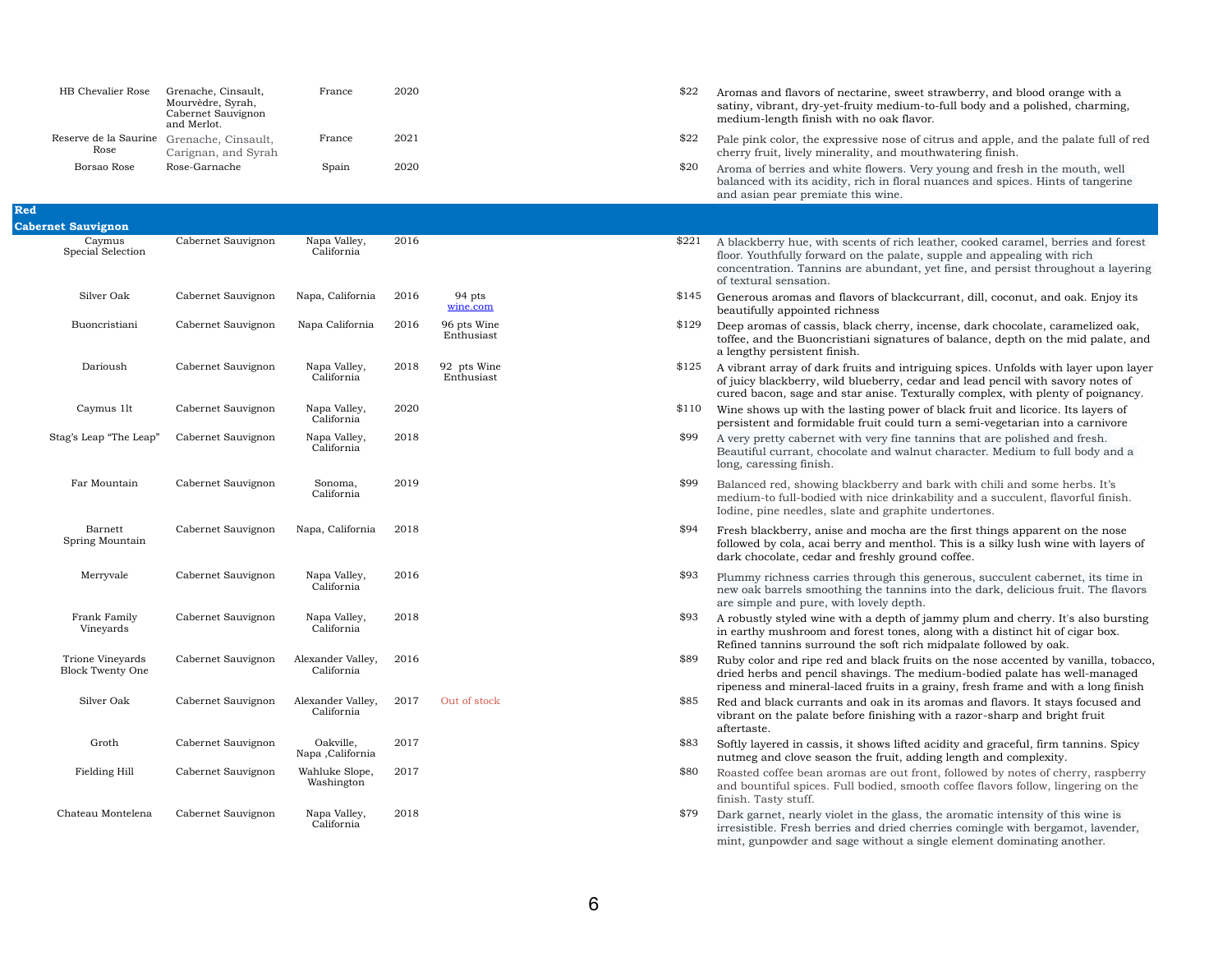| HB Chevalier Rose             | Grenache, Cinsault,<br>Mourvèdre, Syrah,<br>Cabernet Sauvignon<br>and Merlot. | France | 2020 |
|-------------------------------|-------------------------------------------------------------------------------|--------|------|
| Reserve de la Saurine<br>Rose | Grenache, Cinsault,<br>Carignan, and Syrah                                    | France | 2021 |
| Borsao Rose                   | Rose-Garnache                                                                 | Spain  | 2020 |

satiny, vibrant, dry-yet-fruity medium-to-full body and a polished, charming,

 $$22$  Pale pink color, the expressive nose of citrus and apple, and the palate full of red

 $$20$  Aroma of berries and white flowers. Very young and fresh in the mouth, well balanced with its acidity, rich in floral nuances and spices. Hints of tangerine

> with scents of rich leather, cooked caramel, berries and forest floor. Floor. Youthfully forward on the palate, supple and appealing with rich nins are abundant, yet fine, and persist throughout a layering

and flavors of blackcurrant, dill, coconut, and oak. Enjoy its

ssis, black cherry, incense, dark chocolate, caramelized oak, oncristiani signatures of balance, depth on the mid palate, and

lark fruits and intriguing spices. Unfolds with layer upon layer wild blueberry, cedar and lead pencil with savory notes of and star anise. Texturally complex, with plenty of poignancy. In the lasting power of black fruit and licorice. Its layers of nidable fruit could turn a semi-vegetarian into a carnivore net with very fine tannins that are polished and fresh. chocolate and walnut character. Medium to full body and a

ving blackberry and bark with chili and some herbs. It's died with nice drinkability and a succulent, flavorful finish. Incess, slate and graphite undertones.

anise and mocha are the first things apparent on the nose cai berry and menthol. This is a silky lush wine with layers of lar and freshly ground coffee.

exerties through this generous, succulent cabernet, its time in noothing the tannins into the dark, delicious fruit. The flavors

vine with a depth of jammy plum and cherry. It's also bursting m and forest tones, along with a distinct hit of cigar box. rround the soft rich midpalate followed by oak.

e red and black fruits on the nose accented by vanilla, tobacco, ncil shavings. The medium-bodied palate has well-managed ral-laced fruits in a grainy, fresh frame and with a long finish rants and oak in its aromas and flavors. It stays focused and ate before finishing with a razor-sharp and bright fruit

assis, it shows lifted acidity and graceful, firm tannins. Spicy season the fruit, adding length and complexity.

n aromas are out front, followed by notes of cherry, raspberry and spices. Full bodied, smooth coffee flavors follow, lingering on the

- $$22$  Aromas and flavors of nectarine, sweet strawberry, and blood orange with a medium-length finish with no oak flavor.
- cherry fruit, lively minerality, and mouthwatering finish.
- and asian pear premiate this wine.

- 
- re, with lovely depth.
- 
- 
- 
- 
- 
- 

| <b>Red</b> |  |
|------------|--|
|            |  |

y violet in the glass, the aromatic intensity of this wine is irresistible. Fresh berries and dried cherries comingle with bergamot, lavender, mint, gunpowder and sage without a single element dominating another.

| <b>Cabernet Sauvignon</b>                          |                    |                                 |      |                           |       |                                                                                                                              |
|----------------------------------------------------|--------------------|---------------------------------|------|---------------------------|-------|------------------------------------------------------------------------------------------------------------------------------|
| Caymus<br>Special Selection                        | Cabernet Sauvignon | Napa Valley,<br>California      | 2016 |                           | \$221 | A blackberry hue, with scents<br>floor. Youthfully forward on the<br>concentration. Tannins are ab<br>of textural sensation. |
| Silver Oak                                         | Cabernet Sauvignon | Napa, California                | 2016 | 94 pts<br>wine.com        | \$145 | Generous aromas and flavors<br>beautifully appointed richness                                                                |
| Buoncristiani                                      | Cabernet Sauvignon | Napa California                 | 2016 | 96 pts Wine<br>Enthusiast | \$129 | Deep aromas of cassis, black of<br>toffee, and the Buoncristiani s<br>a lengthy persistent finish.                           |
| Darioush                                           | Cabernet Sauvignon | Napa Valley,<br>California      | 2018 | 92 pts Wine<br>Enthusiast | \$125 | A vibrant array of dark fruits a<br>of juicy blackberry, wild blueb<br>cured bacon, sage and star an                         |
| Caymus 1lt                                         | Cabernet Sauvignon | Napa Valley,<br>California      | 2020 |                           | \$110 | Wine shows up with the lasting<br>persistent and formidable fruit                                                            |
| Stag's Leap "The Leap"                             | Cabernet Sauvignon | Napa Valley,<br>California      | 2018 |                           | \$99  | A very pretty cabernet with ver<br>Beautiful currant, chocolate ar<br>long, caressing finish.                                |
| Far Mountain                                       | Cabernet Sauvignon | Sonoma,<br>California           | 2019 |                           | \$99  | Balanced red, showing blackbe<br>medium-to full-bodied with nid<br>Iodine, pine needles, slate and                           |
| Barnett<br>Spring Mountain                         | Cabernet Sauvignon | Napa, California                | 2018 |                           | \$94  | Fresh blackberry, anise and m<br>followed by cola, acai berry and<br>dark chocolate, cedar and fres.                         |
| Merryvale                                          | Cabernet Sauvignon | Napa Valley,<br>California      | 2016 |                           | \$93  | Plummy richness carries throu<br>new oak barrels smoothing the<br>are simple and pure, with love                             |
| Frank Family<br>Vineyards                          | Cabernet Sauvignon | Napa Valley,<br>California      | 2018 |                           | \$93  | A robustly styled wine with a c<br>in earthy mushroom and fores<br>Refined tannins surround the                              |
| <b>Trione Vineyards</b><br><b>Block Twenty One</b> | Cabernet Sauvignon | Alexander Valley,<br>California | 2016 |                           | \$89  | Ruby color and ripe red and bl<br>dried herbs and pencil shaving<br>ripeness and mineral-laced fru                           |
| Silver Oak                                         | Cabernet Sauvignon | Alexander Valley,<br>California | 2017 | Out of stock              | \$85  | Red and black currants and oa<br>vibrant on the palate before fir<br>aftertaste.                                             |
| Groth                                              | Cabernet Sauvignon | Oakville,<br>Napa , California  | 2017 |                           | \$83  | Softly layered in cassis, it show<br>nutmeg and clove season the f                                                           |
| Fielding Hill                                      | Cabernet Sauvignon | Wahluke Slope,<br>Washington    | 2017 |                           | \$80  | Roasted coffee bean aromas ar<br>and bountiful spices. Full bodi<br>finish. Tasty stuff.                                     |
| Chateau Montelena                                  | Cabernet Sauvignon | Napa Valley,<br>California      | 2018 |                           | \$79  | Dark garnet, nearly violet in th<br>irresistible Fresh berries and                                                           |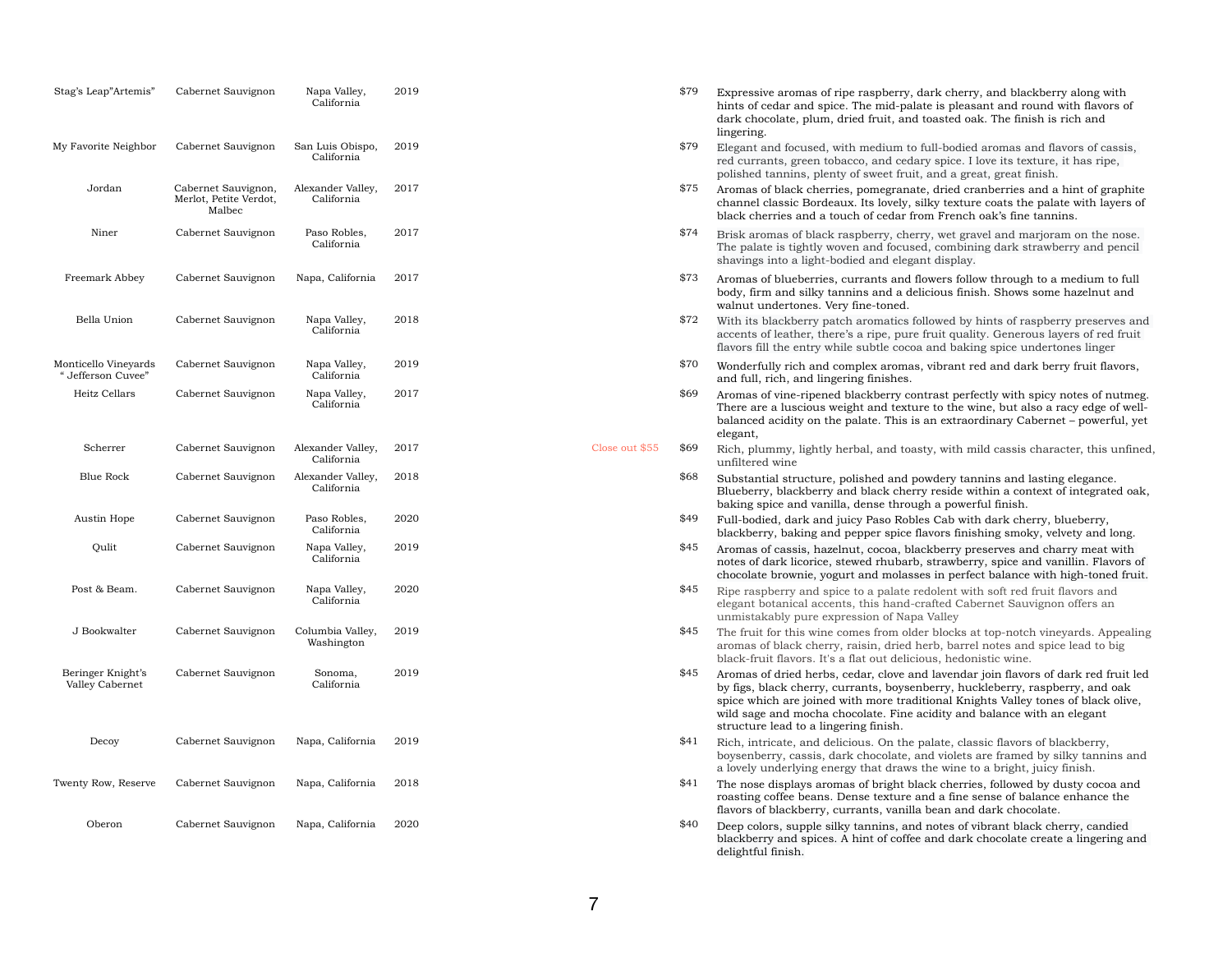hints of cedar and spice. The mid-palate is pleasant and round with flavors of dark chocolate, plum, dried fruit, and toasted oak. The finish is rich and

\$79 Elegant and focused, with medium to full-bodied aromas and flavors of cassis, red currants, green tobacco, and cedary spice. I love its texture, it has ripe,

 $$75$  Aromas of black cherries, pomegranate, dried cranberries and a hint of graphite channel classic Bordeaux. Its lovely, silky texture coats the palate with layers of black cherries and a touch of cedar from French oak's fine tannins.

 $$73$  Aromas of blueberries, currants and flowers follow through to a medium to full body, firm and silky tannins and a delicious finish. Shows some hazelnut and

\$72 With its blackberry patch aromatics followed by hints of raspberry preserves and accents of leather, there's a ripe, pure fruit quality. Generous layers of red fruit flavors fill the entry while subtle cocoa and baking spice undertones linger

\$70 Wonderfully rich and complex aromas, vibrant red and dark berry fruit flavors,

The palate is tightly woven and focused, combining dark strawberry and pencil

\$69 Aromas of vine-ripened blackberry contrast perfectly with spicy notes of nutmeg. There are a luscious weight and texture to the wine, but also a racy edge of wellbalanced acidity on the palate. This is an extraordinary Cabernet – powerful, yet

blackberry, baking and pepper spice flavors finishing smoky, velvety and long.  $$45$  Aromas of cassis, hazelnut, cocoa, blackberry preserves and charry meat with notes of dark licorice, stewed rhubarb, strawberry, spice and vanillin. Flavors of chocolate brownie, yogurt and molasses in perfect balance with high-toned fruit. <sup>\$45</sup> Ripe raspberry and spice to a palate redolent with soft red fruit flavors and

\$45 The fruit for this wine comes from older blocks at top-notch vineyards. Appealing aromas of black cherry, raisin, dried herb, barrel notes and spice lead to big

| Stag's Leap"Artemis"                       | Cabernet Sauvignon                                      | Napa Valley,<br>California      | 2019 |
|--------------------------------------------|---------------------------------------------------------|---------------------------------|------|
| My Favorite Neighbor                       | Cabernet Sauvignon                                      | San Luis Obispo,<br>California  | 2019 |
| Jordan                                     | Cabernet Sauvignon,<br>Merlot, Petite Verdot,<br>Malbec | Alexander Valley,<br>California | 2017 |
| Niner                                      | Cabernet Sauvignon                                      | Paso Robles,<br>California      | 2017 |
| Freemark Abbey                             | Cabernet Sauvignon                                      | Napa, California                | 2017 |
| Bella Union                                | Cabernet Sauvignon                                      | Napa Valley,<br>California      | 2018 |
| Monticello Vineyards<br>" Jefferson Cuvee" | Cabernet Sauvignon                                      | Napa Valley,<br>California      | 2019 |
| Heitz Cellars                              | Cabernet Sauvignon                                      | Napa Valley,<br>California      | 2017 |
| Scherrer                                   | Cabernet Sauvignon                                      | Alexander Valley,<br>California | 2017 |
| <b>Blue Rock</b>                           | Cabernet Sauvignon                                      | Alexander Valley,<br>California | 2018 |
| Austin Hope                                | Cabernet Sauvignon                                      | Paso Robles,<br>California      | 2020 |
| Qulit                                      | Cabernet Sauvignon                                      | Napa Valley,<br>California      | 2019 |
| Post & Beam.                               | Cabernet Sauvignon                                      | Napa Valley,<br>California      | 2020 |
| J Bookwalter                               | Cabernet Sauvignon                                      | Columbia Valley,<br>Washington  | 2019 |
| Beringer Knight's<br>Valley Cabernet       | Cabernet Sauvignon                                      | Sonoma,<br>California           | 2019 |
| Decoy                                      | Cabernet Sauvignon                                      | Napa, California                | 2019 |
| Twenty Row, Reserve                        | Cabernet Sauvignon                                      | Napa, California                | 2018 |
| Oberon                                     | Cabernet Sauvignon                                      | Napa, California                | 2020 |

\$45 Aromas of dried herbs, cedar, clove and lavendar join flavors of dark red fruit led by figs, black cherry, currants, boysenberry, huckleberry, raspberry, and oak spice which are joined with more traditional Knights Valley tones of black olive, wild sage and mocha chocolate. Fine acidity and balance with an elegant

 $$41$  The nose displays aromas of bright black cherries, followed by dusty cocoa and roasting coffee beans. Dense texture and a fine sense of balance enhance the

2017 Close out \$55 \$69 Rich, plummy, lightly herbal, and toasty, with mild cassis character, this unfined,

- \$79 Expressive aromas of ripe raspberry, dark cherry, and blackberry along with lingering.
- polished tannins, plenty of sweet fruit, and a great, great finish.
- 
- $$74$  Brisk aromas of black raspberry, cherry, wet gravel and marjoram on the nose. shavings into a light-bodied and elegant display.
- walnut undertones. Very fine-toned.
- 
- and full, rich, and lingering finishes.
- elegant,
- unfiltered wine
- \$68 Substantial structure, polished and powdery tannins and lasting elegance. baking spice and vanilla, dense through a powerful finish.
- \$49 Full-bodied, dark and juicy Paso Robles Cab with dark cherry, blueberry,
- 
- elegant botanical accents, this hand-crafted Cabernet Sauvignon offers an unmistakably pure expression of Napa Valley
- black-fruit flavors. It's a flat out delicious, hedonistic wine.
- structure lead to a lingering finish.
- $$41$  Rich, intricate, and delicious. On the palate, classic flavors of blackberry,
- flavors of blackberry, currants, vanilla bean and dark chocolate.
- $\frac{1640}{20}$  Deep colors, supple silky tannins, and notes of vibrant black cherry, candied delightful finish.

Blueberry, blackberry and black cherry reside within a context of integrated oak,

boysenberry, cassis, dark chocolate, and violets are framed by silky tannins and a lovely underlying energy that draws the wine to a bright, juicy finish.

blackberry and spices. A hint of coffee and dark chocolate create a lingering and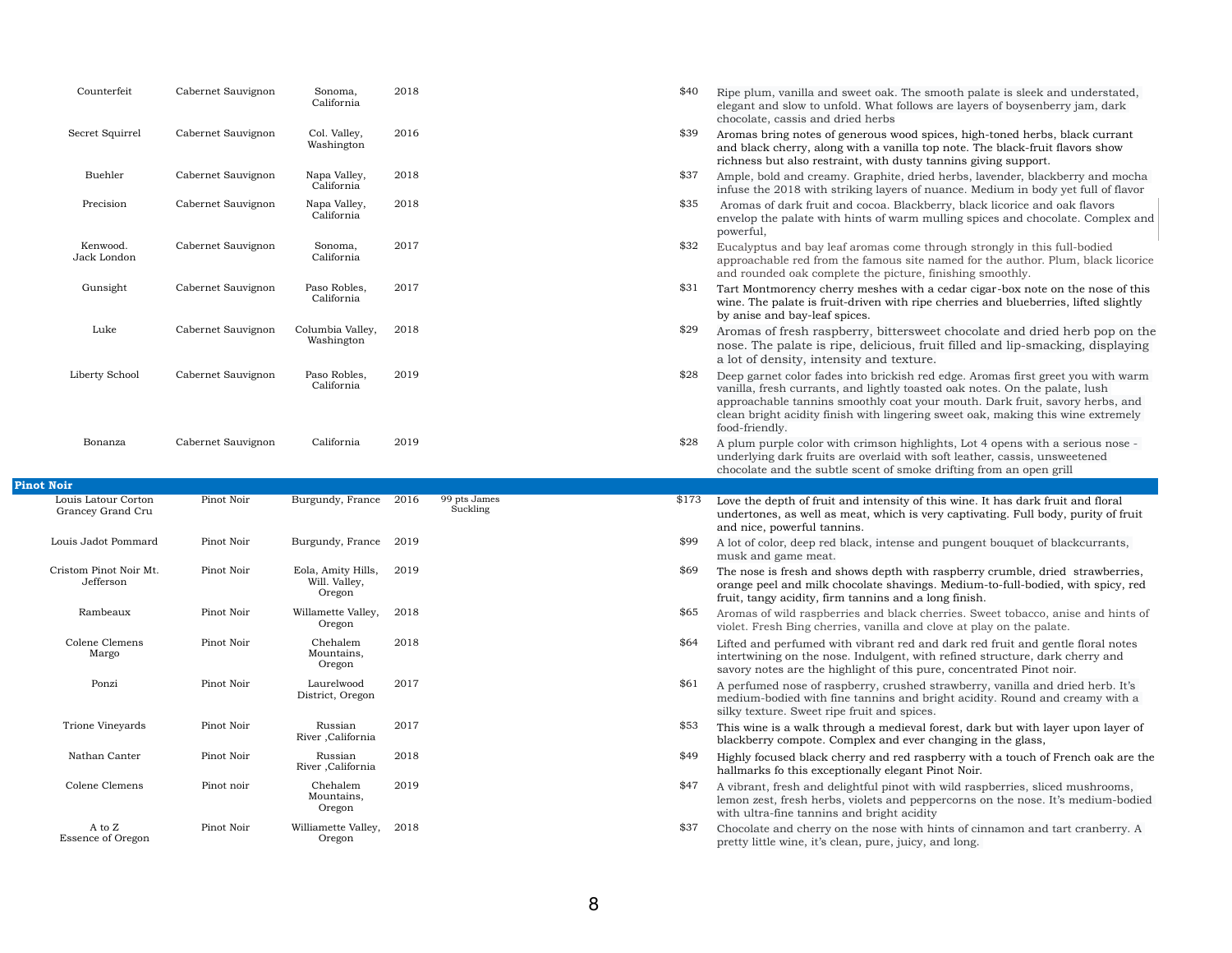\$40 Ripe plum, vanilla and sweet oak. The smooth palate is sleek and understated, elegant and slow to unfold. What follows are layers of boysenberry jam, dark

\$39 Aromas bring notes of generous wood spices, high-toned herbs, black currant and black cherry, along with a vanilla top note. The black-fruit flavors show

\$37 Ample, bold and creamy. Graphite, dried herbs, lavender, blackberry and mocha infuse the 2018 with striking layers of nuance. Medium in body yet full of flavor \$35 Aromas of dark fruit and cocoa. Blackberry, black licorice and oak flavors envelop the palate with hints of warm mulling spices and chocolate. Complex and

\$32 Eucalyptus and bay leaf aromas come through strongly in this full-bodied approachable red from the famous site named for the author. Plum, black licorice

 $$31$  Tart Montmorency cherry meshes with a cedar cigar-box note on the nose of this wine. The palate is fruit-driven with ripe cherries and blueberries, lifted slightly

\$29 Aromas of fresh raspberry, bittersweet chocolate and dried herb pop on the nose. The palate is ripe, delicious, fruit filled and lip-smacking, displaying

| Counterfeit             | Cabernet Sauvignon | Sonoma,<br>California          | 2018 |
|-------------------------|--------------------|--------------------------------|------|
| Secret Squirrel         | Cabernet Sauvignon | Col. Valley,<br>Washington     | 2016 |
| <b>Buehler</b>          | Cabernet Sauvignon | Napa Valley,<br>California     | 2018 |
| Precision               | Cabernet Sauvignon | Napa Valley,<br>California     | 2018 |
| Kenwood.<br>Jack London | Cabernet Sauvignon | Sonoma,<br>California          | 2017 |
| Gunsight                | Cabernet Sauvignon | Paso Robles,<br>California     | 2017 |
| Luke                    | Cabernet Sauvignon | Columbia Valley,<br>Washington | 2018 |
| Liberty School          | Cabernet Sauvignon | Paso Robles,<br>California     | 2019 |
|                         |                    |                                |      |

 $$28$  Deep garnet color fades into brickish red edge. Aromas first greet you with warm vanilla, fresh currants, and lightly toasted oak notes. On the palate, lush approachable tannins smoothly coat your mouth. Dark fruit, savory herbs, and clean bright acidity finish with lingering sweet oak, making this wine extremely

Bonanza Cabernet Sauvignon California 2019 328 A plum purple color with crimson highlights, Lot 4 opens with a serious nose underlying dark fruits are overlaid with soft leather, cassis, unsweetened chocolate and the subtle scent of smoke drifting from an open grill

> $$69$  The nose is fresh and shows depth with raspberry crumble, dried strawberries, orange peel and milk chocolate shavings. Medium-to-full-bodied, with spicy, red

> \$65 Aromas of wild raspberries and black cherries. Sweet tobacco, anise and hints of

\$64 Lifted and perfumed with vibrant red and dark red fruit and gentle floral notes intertwining on the nose. Indulgent, with refined structure, dark cherry and savory notes are the highlight of this pure, concentrated Pinot noir.

\$61 A perfumed nose of raspberry, crushed strawberry, vanilla and dried herb. It's medium-bodied with fine tannins and bright acidity. Round and creamy with a

 $$53$  This wine is a walk through a medieval forest, dark but with layer upon layer of

 $$49$  Highly focused black cherry and red raspberry with a touch of French oak are the

 $$47$  A vibrant, fresh and delightful pinot with wild raspberries, sliced mushrooms, lemon zest, fresh herbs, violets and peppercorns on the nose. It's medium-bodied

\$37 Chocolate and cherry on the nose with hints of cinnamon and tart cranberry. A

## **Pinot Noir**

- chocolate, cassis and dried herbs
- richness but also restraint, with dusty tannins giving support.
- 
- powerful,
- and rounded oak complete the picture, finishing smoothly.
- by anise and bay-leaf spices.
- a lot of density, intensity and texture.
- food-friendly.
- 
- and nice, powerful tannins.
- musk and game meat.
- fruit, tangy acidity, firm tannins and a long finish.
- violet. Fresh Bing cherries, vanilla and clove at play on the palate.
- 
- silky texture. Sweet ripe fruit and spices.
- blackberry compote. Complex and ever changing in the glass,
- hallmarks fo this exceptionally elegant Pinot Noir.
- with ultra-fine tannins and bright acidity
- pretty little wine, it's clean, pure, juicy, and long.

\$173 Love the depth of fruit and intensity of this wine. It has dark fruit and floral undertones, as well as meat, which is very captivating. Full body, purity of fruit

 $$99$  A lot of color, deep red black, intense and pungent bouquet of blackcurrants,

| Louis Latour Corton<br>Grancey Grand Cru | Pinot Noir | Burgundy, France                              | 2016 | 99 pts Jame<br>Suckling |
|------------------------------------------|------------|-----------------------------------------------|------|-------------------------|
| Louis Jadot Pommard                      | Pinot Noir | Burgundy, France                              | 2019 |                         |
| Cristom Pinot Noir Mt.<br>Jefferson      | Pinot Noir | Eola, Amity Hills,<br>Will. Valley,<br>Oregon | 2019 |                         |
| Rambeaux                                 | Pinot Noir | Willamette Valley,<br>Oregon                  | 2018 |                         |
| Colene Clemens<br>Margo                  | Pinot Noir | Chehalem<br>Mountains,<br>Oregon              | 2018 |                         |
| Ponzi                                    | Pinot Noir | Laurelwood<br>District, Oregon                | 2017 |                         |
| Trione Vineyards                         | Pinot Noir | Russian<br>River , California                 | 2017 |                         |
| Nathan Canter                            | Pinot Noir | Russian<br>River , California                 | 2018 |                         |
| Colene Clemens                           | Pinot noir | Chehalem<br>Mountains,<br>Oregon              | 2019 |                         |
| A to $Z$<br><b>Essence of Oregon</b>     | Pinot Noir | Williamette Valley,<br>Oregon                 | 2018 |                         |

pts James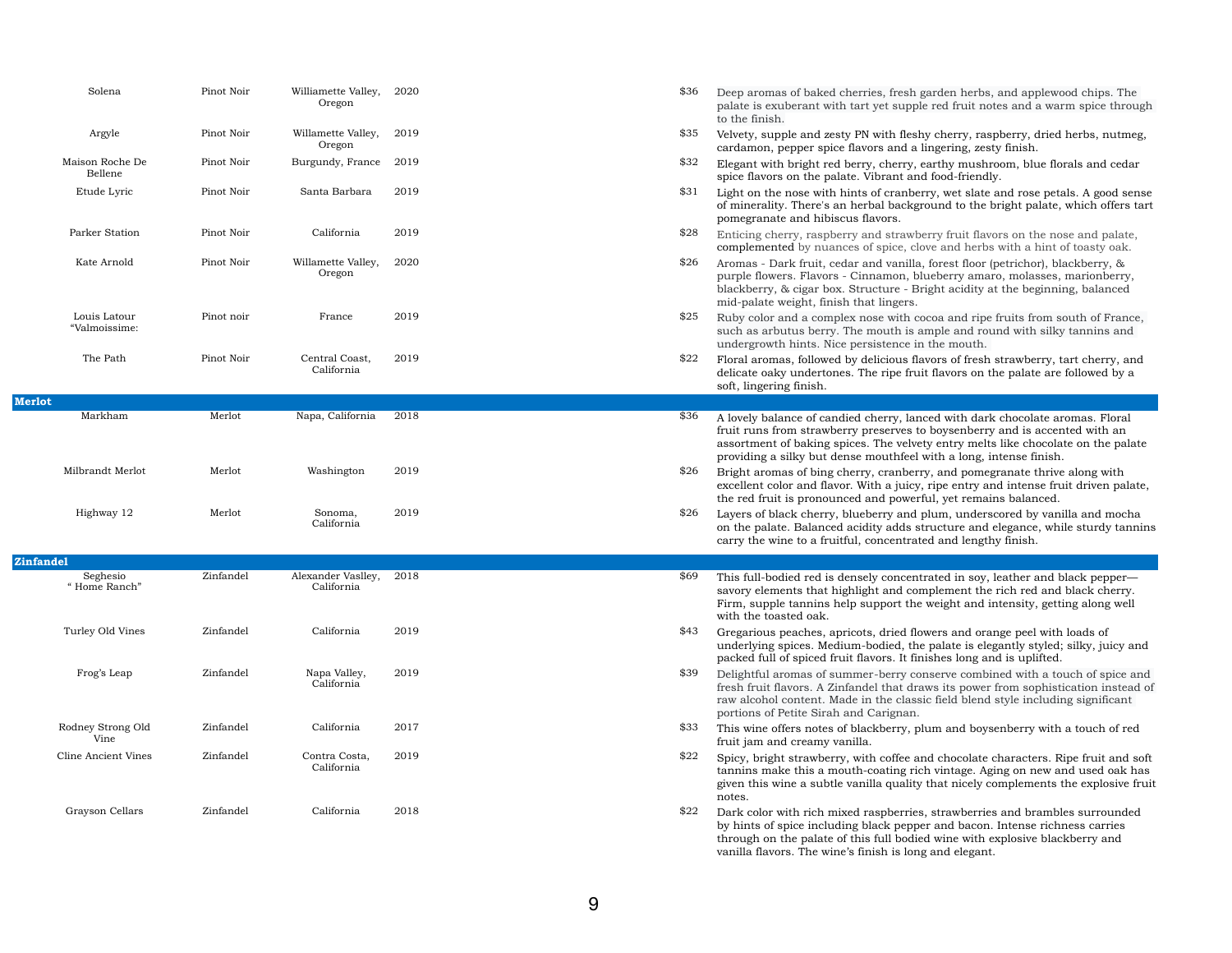fleshy cherry, raspberry, dried herbs, nutmeg, cardamon, pepper spice flavors and a lingering, zesty finish.

erry, earthy mushroom, blue florals and cedar nt and food-friendly.

Franderry, wet slate and rose petals. A good sense ackground to the bright palate, which offers tart

rawberry fruit flavors on the nose and palate, ce, clove and herbs with a hint of toasty oak.

anilla, forest floor (petrichor), blackberry, & on, blueberry amaro, molasses, marionberry, re - Bright acidity at the beginning, balanced gers.

vith cocoa and ripe fruits from south of France, th is ample and round with silky tannins and nce in the mouth.

lus flavors of fresh strawberry, tart cherry, and e fruit flavors on the palate are followed by a

y, lanced with dark chocolate aromas. Floral runs to boysenberry and is accented with an velvety entry melts like chocolate on the palate hfeel with a long, intense finish.

mberry, and pomegranate thrive along with juicy, ripe entry and intense fruit driven palate, owerful, yet remains balanced.

and plum, underscored by vanilla and mocha dds structure and elegance, while sturdy tannins entrated and lengthy finish.

ncentrated in soy, leather and black pepper ad complement the rich red and black cherry. rt the weight and intensity, getting along well

ed flowers and orange peel with loads of d, the palate is elegantly styled; silky, juicy and It finishes long and is uplifted.

rry conserve combined with a touch of spice and at draws its power from sophistication instead of classic field blend style including significant man.

rry, plum and boysenberry with a touch of red

ffee and chocolate characters. Ripe fruit and soft ng rich vintage. Aging on new and used oak has uality that nicely complements the explosive fruit

erries, strawberries and brambles surrounded pepper and bacon. Intense richness carries bodied wine with explosive blackberry and

| Solena                        | Pinot Noir | Williamette Valley,<br>Oregon    | 2020 | \$36 | Deep aromas of baked cherries, fresh garden herbs,<br>palate is exuberant with tart yet supple red fruit not<br>to the finish.                                                                                                   |
|-------------------------------|------------|----------------------------------|------|------|----------------------------------------------------------------------------------------------------------------------------------------------------------------------------------------------------------------------------------|
| Argyle                        | Pinot Noir | Willamette Valley,<br>Oregon     | 2019 | \$35 | Velvety, supple and zesty PN with fleshy cherry, rasp<br>cardamon, pepper spice flavors and a lingering, zest                                                                                                                    |
| Maison Roche De<br>Bellene    | Pinot Noir | Burgundy, France                 | 2019 | \$32 | Elegant with bright red berry, cherry, earthy mushro<br>spice flavors on the palate. Vibrant and food-friendly                                                                                                                   |
| Etude Lyric                   | Pinot Noir | Santa Barbara                    | 2019 | \$31 | Light on the nose with hints of cranberry, wet slate a<br>of minerality. There's an herbal background to the b<br>pomegranate and hibiscus flavors.                                                                              |
| Parker Station                | Pinot Noir | California                       | 2019 | \$28 | Enticing cherry, raspberry and strawberry fruit flave<br>complemented by nuances of spice, clove and herbs                                                                                                                       |
| Kate Arnold                   | Pinot Noir | Willamette Valley,<br>Oregon     | 2020 | \$26 | Aromas - Dark fruit, cedar and vanilla, forest floor (p<br>purple flowers. Flavors - Cinnamon, blueberry amar<br>blackberry, & cigar box. Structure - Bright acidity at<br>mid-palate weight, finish that lingers.               |
| Louis Latour<br>"Valmoissime: | Pinot noir | France                           | 2019 | \$25 | Ruby color and a complex nose with cocoa and ripe:<br>such as arbutus berry. The mouth is ample and rou<br>undergrowth hints. Nice persistence in the mouth.                                                                     |
| The Path                      | Pinot Noir | Central Coast,<br>California     | 2019 | \$22 | Floral aromas, followed by delicious flavors of fresh and<br>delicate oaky undertones. The ripe fruit flavors on the<br>soft, lingering finish.                                                                                  |
| <b>Merlot</b>                 |            |                                  |      |      |                                                                                                                                                                                                                                  |
| Markham                       | Merlot     | Napa, California                 | 2018 | \$36 | A lovely balance of candied cherry, lanced with dark<br>fruit runs from strawberry preserves to boysenberry<br>assortment of baking spices. The velvety entry melts<br>providing a silky but dense mouthfeel with a long, in     |
| Milbrandt Merlot              | Merlot     | Washington                       | 2019 | \$26 | Bright aromas of bing cherry, cranberry, and pomeg<br>excellent color and flavor. With a juicy, ripe entry an<br>the red fruit is pronounced and powerful, yet remain                                                            |
| Highway 12                    | Merlot     | Sonoma,<br>California            | 2019 | \$26 | Layers of black cherry, blueberry and plum, underso<br>on the palate. Balanced acidity adds structure and e<br>carry the wine to a fruitful, concentrated and length                                                             |
| <b>Zinfandel</b>              |            |                                  |      |      |                                                                                                                                                                                                                                  |
| Seghesio<br>"Home Ranch"      | Zinfandel  | Alexander Vaslley,<br>California | 2018 | \$69 | This full-bodied red is densely concentrated in soy, l<br>savory elements that highlight and complement the<br>Firm, supple tannins help support the weight and in<br>with the toasted oak.                                      |
| Turley Old Vines              | Zinfandel  | California                       | 2019 | \$43 | Gregarious peaches, apricots, dried flowers and orar<br>underlying spices. Medium-bodied, the palate is eleg<br>packed full of spiced fruit flavors. It finishes long and                                                        |
| Frog's Leap                   | Zinfandel  | Napa Valley,<br>California       | 2019 | \$39 | Delightful aromas of summer-berry conserve combir<br>fresh fruit flavors. A Zinfandel that draws its power i<br>raw alcohol content. Made in the classic field blend a<br>portions of Petite Sirah and Carignan.                 |
| Rodney Strong Old<br>Vine     | Zinfandel  | California                       | 2017 | \$33 | This wine offers notes of blackberry, plum and boyse<br>fruit jam and creamy vanilla.                                                                                                                                            |
| <b>Cline Ancient Vines</b>    | Zinfandel  | Contra Costa,<br>California      | 2019 | \$22 | Spicy, bright strawberry, with coffee and chocolate c<br>tannins make this a mouth-coating rich vintage. Agi<br>given this wine a subtle vanilla quality that nicely co<br>notes.                                                |
| Grayson Cellars               | Zinfandel  | California                       | 2018 | \$22 | Dark color with rich mixed raspberries, strawberries<br>by hints of spice including black pepper and bacon.<br>through on the palate of this full bodied wine with ex<br>vanilla flavors. The wine's finish is long and elegant. |

resh garden herbs, and applewood chips. The supple red fruit notes and a warm spice through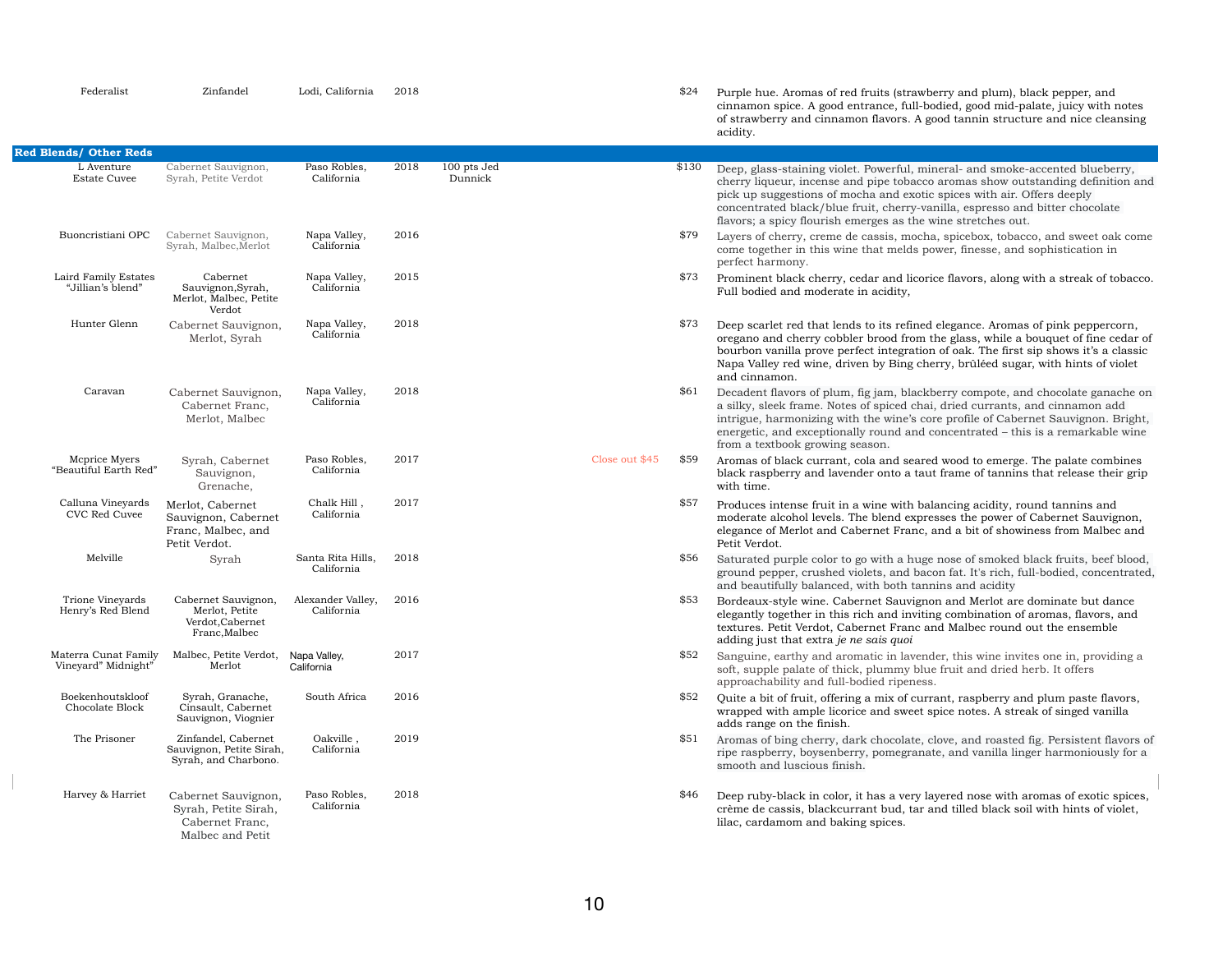| Federalist                                  | Zinfandel                                                                          | Lodi, California                | 2018 |                        |                | \$24  | Purple hue. Aromas of red fruits (str<br>cinnamon spice. A good entrance, fu<br>of strawberry and cinnamon flavors.<br>acidity.                                                                        |
|---------------------------------------------|------------------------------------------------------------------------------------|---------------------------------|------|------------------------|----------------|-------|--------------------------------------------------------------------------------------------------------------------------------------------------------------------------------------------------------|
| <b>Red Blends/ Other Reds</b>               |                                                                                    |                                 |      |                        |                |       |                                                                                                                                                                                                        |
| L Aventure<br><b>Estate Cuvee</b>           | Cabernet Sauvignon,<br>Syrah, Petite Verdot                                        | Paso Robles,<br>California      | 2018 | 100 pts Jed<br>Dunnick |                | \$130 | Deep, glass-staining violet. Powerful<br>cherry liqueur, incense and pipe tob<br>pick up suggestions of mocha and ex<br>concentrated black/blue fruit, cherr<br>flavors; a spicy flourish emerges as t |
| Buoncristiani OPC                           | Cabernet Sauvignon,<br>Syrah, Malbec, Merlot                                       | Napa Valley,<br>California      | 2016 |                        |                | \$79  | Layers of cherry, creme de cassis, m<br>come together in this wine that meld<br>perfect harmony.                                                                                                       |
| Laird Family Estates<br>"Jillian's blend"   | Cabernet<br>Sauvignon, Syrah,<br>Merlot, Malbec, Petite<br>Verdot                  | Napa Valley,<br>California      | 2015 |                        |                | \$73  | Prominent black cherry, cedar and li<br>Full bodied and moderate in acidity,                                                                                                                           |
| Hunter Glenn                                | Cabernet Sauvignon,<br>Merlot, Syrah                                               | Napa Valley,<br>California      | 2018 |                        |                | \$73  | Deep scarlet red that lends to its ref<br>oregano and cherry cobbler brood fro<br>bourbon vanilla prove perfect integra<br>Napa Valley red wine, driven by Bing<br>and cinnamon.                       |
| Caravan                                     | Cabernet Sauvignon,<br>Cabernet Franc,<br>Merlot, Malbec                           | Napa Valley,<br>California      | 2018 |                        |                | \$61  | Decadent flavors of plum, fig jam, bl<br>a silky, sleek frame. Notes of spiced<br>intrigue, harmonizing with the wine'<br>energetic, and exceptionally round a<br>from a textbook growing season.      |
| Meprice Myers<br>"Beautiful Earth Red"      | Syrah, Cabernet<br>Sauvignon,<br>Grenache,                                         | Paso Robles,<br>California      | 2017 |                        | Close out \$45 | \$59  | Aromas of black currant, cola and so<br>black raspberry and lavender onto a<br>with time.                                                                                                              |
| Calluna Vineyards<br>CVC Red Cuvee          | Merlot, Cabernet<br>Sauvignon, Cabernet<br>Franc, Malbec, and<br>Petit Verdot.     | Chalk Hill,<br>California       | 2017 |                        |                | \$57  | Produces intense fruit in a wine with<br>moderate alcohol levels. The blend e<br>elegance of Merlot and Cabernet Fra<br>Petit Verdot.                                                                  |
| Melville                                    | Syrah                                                                              | Santa Rita Hills,<br>California | 2018 |                        |                | \$56  | Saturated purple color to go with a l<br>ground pepper, crushed violets, and<br>and beautifully balanced, with both                                                                                    |
| Trione Vineyards<br>Henry's Red Blend       | Cabernet Sauvignon,<br>Merlot, Petite<br>Verdot, Cabernet<br>Franc, Malbec         | Alexander Valley,<br>California | 2016 |                        |                | \$53  | Bordeaux-style wine. Cabernet Sauv<br>elegantly together in this rich and in<br>textures. Petit Verdot, Cabernet Fran<br>adding just that extra je ne sais quot                                        |
| Materra Cunat Family<br>Vineyard" Midnight" | Malbec, Petite Verdot,<br>Merlot                                                   | Napa Valley,<br>California      | 2017 |                        |                | \$52  | Sanguine, earthy and aromatic in la<br>soft, supple palate of thick, plummy<br>approachability and full-bodied riper                                                                                   |
| Boekenhoutskloof<br>Chocolate Block         | Syrah, Granache,<br>Cinsault, Cabernet<br>Sauvignon, Viognier                      | South Africa                    | 2016 |                        |                | \$52  | Quite a bit of fruit, offering a mix of<br>wrapped with ample licorice and swe<br>adds range on the finish.                                                                                            |
| The Prisoner                                | Zinfandel, Cabernet<br>Sauvignon, Petite Sirah,<br>Syrah, and Charbono.            | Oakville,<br>California         | 2019 |                        |                | \$51  | Aromas of bing cherry, dark chocola<br>ripe raspberry, boysenberry, pomegr<br>smooth and luscious finish.                                                                                              |
| Harvey & Harriet                            | Cabernet Sauvignon,<br>Syrah, Petite Sirah,<br>Cabernet Franc,<br>Malbec and Petit | Paso Robles,<br>California      | 2018 |                        |                | \$46  | Deep ruby-black in color, it has a ve<br>crème de cassis, blackcurrant bud, t<br>lilac, cardamom and baking spices.                                                                                    |

(strawberry and plum), black pepper, and full-bodied, good mid-palate, juicy with notes ors. A good tannin structure and nice cleansing

rful, mineral- and smoke-accented blueberry, tobacco aromas show outstanding definition and d exotic spices with air. Offers deeply herry-vanilla, espresso and bitter chocolate as the wine stretches out.

s, mocha, spicebox, tobacco, and sweet oak come nelds power, finesse, and sophistication in

nd licorice flavors, along with a streak of tobacco.

refined elegance. Aromas of pink peppercorn, d from the glass, while a bouquet of fine cedar of tegration of oak. The first sip shows it's a classic Bing cherry, brûléed sugar, with hints of violet

, blackberry compote, and chocolate ganache on ced chai, dried currants, and cinnamon add ine's core profile of Cabernet Sauvignon. Bright, red and concentrated – this is a remarkable wine

d seared wood to emerge. The palate combines to a taut frame of tannins that release their grip

with balancing acidity, round tannins and nd expresses the power of Cabernet Sauvignon, Franc, and a bit of showiness from Malbec and

a huge nose of smoked black fruits, beef blood, and bacon fat. It's rich, full-bodied, concentrated, oth tannins and acidity

Sauvignon and Merlot are dominate but dance d inviting combination of aromas, flavors, and Franc and Malbec round out the ensemble

n lavender, this wine invites one in, providing a imy blue fruit and dried herb. It offers ripeness.

of currant, raspberry and plum paste flavors, sweet spice notes. A streak of singed vanilla

colate, clove, and roasted fig. Persistent flavors of regranate, and vanilla linger harmoniously for a

a very layered nose with aromas of exotic spices, ad, tar and tilled black soil with hints of violet,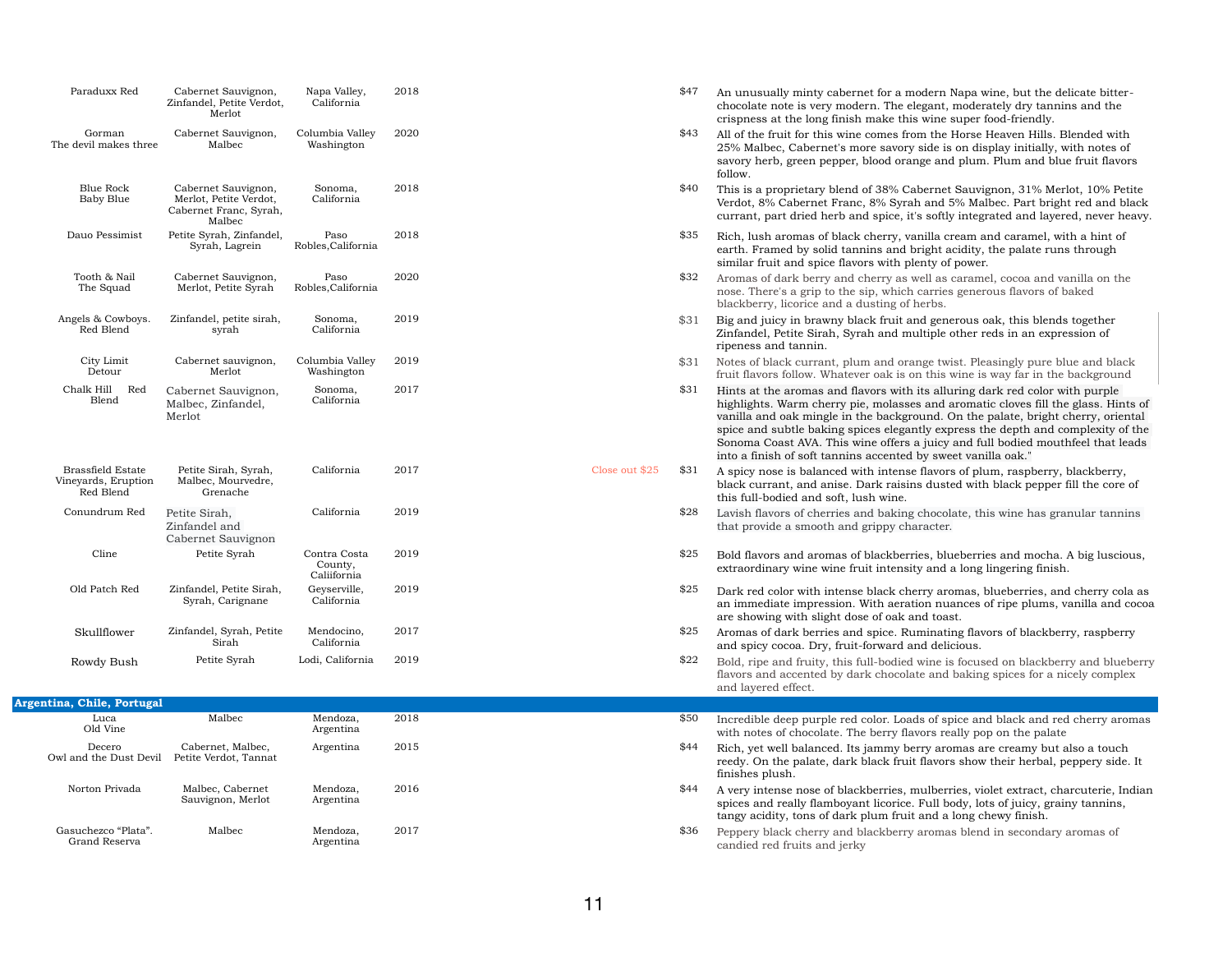chocolate note is very modern. The elegant, moderately dry tannins and the

\$40 This is a proprietary blend of 38% Cabernet Sauvignon, 31% Merlot, 10% Petite Verdot, 8% Cabernet Franc, 8% Syrah and 5% Malbec. Part bright red and black currant, part dried herb and spice, it's softly integrated and layered, never heavy.

25% Malbec, Cabernet's more savory side is on display initially, with notes of savory herb, green pepper, blood orange and plum. Plum and blue fruit flavors

\$32 Aromas of dark berry and cherry as well as caramel, cocoa and vanilla on the nose. There's a grip to the sip, which carries generous flavors of baked

\$31 Notes of black currant, plum and orange twist. Pleasingly pure blue and black fruit flavors follow. Whatever oak is on this wine is way far in the background

earth. Framed by solid tannins and bright acidity, the palate runs through

Close out  $$25$  \$31 A spicy nose is balanced with intense flavors of plum, raspberry, blackberry, black currant, and anise. Dark raisins dusted with black pepper fill the core of

 $$28$  Lavish flavors of cherries and baking chocolate, this wine has granular tannins

 $$25$  Bold flavors and aromas of blackberries, blueberries and mocha. A big luscious,

Zinfandel, Petite Sirah, Syrah and multiple other reds in an expression of

 $25$  Dark red color with intense black cherry aromas, blueberries, and cherry cola as an immediate impression. With aeration nuances of ripe plums, vanilla and cocoa

 $$25$  Aromas of dark berries and spice. Ruminating flavors of blackberry, raspberry

| Paraduxx Red                                                 | Cabernet Sauvignon,<br>Zinfandel, Petite Verdot,<br>Merlot                        | Napa Valley,<br>California             | 2018 |
|--------------------------------------------------------------|-----------------------------------------------------------------------------------|----------------------------------------|------|
| Gorman<br>The devil makes three                              | Cabernet Sauvignon,<br>Malbec                                                     | Columbia Valley<br>Washington          | 2020 |
| <b>Blue Rock</b><br><b>Baby Blue</b>                         | Cabernet Sauvignon,<br>Merlot, Petite Verdot,<br>Cabernet Franc, Syrah,<br>Malbec | Sonoma,<br>California                  | 2018 |
| Dauo Pessimist                                               | Petite Syrah, Zinfandel,<br>Syrah, Lagrein                                        | Paso<br>Robles, California             | 2018 |
| Tooth & Nail<br>The Squad                                    | Cabernet Sauvignon,<br>Merlot, Petite Syrah                                       | Paso<br>Robles, California             | 2020 |
| Angels & Cowboys.<br>Red Blend                               | Zinfandel, petite sirah,<br>syrah                                                 | Sonoma,<br>California                  | 2019 |
| City Limit<br>Detour                                         | Cabernet sauvignon,<br>Merlot                                                     | Columbia Valley<br>Washington          | 2019 |
| Chalk Hill<br>Red<br>Blend                                   | Cabernet Sauvignon,<br>Malbec, Zinfandel,<br>Merlot                               | Sonoma,<br>California                  | 2017 |
| <b>Brassfield Estate</b><br>Vineyards, Eruption<br>Red Blend | Petite Sirah, Syrah,<br>Malbec, Mourvedre,<br>Grenache                            | California                             | 2017 |
| Conundrum Red                                                | Petite Sirah,<br>Zinfandel and<br>Cabernet Sauvignon                              | California                             | 2019 |
| Cline                                                        | Petite Syrah                                                                      | Contra Costa<br>County,<br>Caliifornia | 2019 |
| Old Patch Red                                                | Zinfandel, Petite Sirah,<br>Syrah, Carignane                                      | Geyserville,<br>California             | 2019 |
| Skullflower                                                  | Zinfandel, Syrah, Petite<br>Sirah                                                 | Mendocino,<br>California               | 2017 |
| Rowdy Bush                                                   | Petite Syrah                                                                      | Lodi, California                       | 2019 |

 $$22$  Bold, ripe and fruity, this full-bodied wine is focused on blackberry and blueberry flavors and accented by dark chocolate and baking spices for a nicely complex

\$44 Rich, yet well balanced. Its jammy berry aromas are creamy but also a touch reedy. On the palate, dark black fruit flavors show their herbal, peppery side. It

\$44 A very intense nose of blackberries, mulberries, violet extract, charcuterie, Indian spices and really flamboyant licorice. Full body, lots of juicy, grainy tannins,

\$36 Peppery black cherry and blackberry aromas blend in secondary aromas of

highlights. Warm cherry pie, molasses and aromatic cloves fill the glass. Hints of vanilla and oak mingle in the background. On the palate, bright cherry, oriental spice and subtle baking spices elegantly express the depth and complexity of the Sonoma Coast AVA. This wine offers a juicy and full bodied mouthfeel that leads

- $$47$  An unusually minty cabernet for a modern Napa wine, but the delicate bittercrispness at the long finish make this wine super food-friendly.
- \$43 All of the fruit for this wine comes from the Horse Heaven Hills. Blended with follow.
- 
- $$35$  Rich, lush aromas of black cherry, vanilla cream and caramel, with a hint of similar fruit and spice flavors with plenty of power.
- blackberry, licorice and a dusting of herbs.
- \$31 Big and juicy in brawny black fruit and generous oak, this blends together ripeness and tannin.
- 
- $$31$  Hints at the aromas and flavors with its alluring dark red color with purple into a finish of soft tannins accented by sweet vanilla oak."
	- this full-bodied and soft, lush wine.
- that provide a smooth and grippy character.
- extraordinary wine wine fruit intensity and a long lingering finish.
- are showing with slight dose of oak and toast.
- and spicy cocoa. Dry, fruit-forward and delicious.
- and layered effect.
- \$50 Incredible deep purple red color. Loads of spice and black and red cherry aromas with notes of chocolate. The berry flavors really pop on the palate
- finishes plush.
- tangy acidity, tons of dark plum fruit and a long chewy finish.
- candied red fruits and jerky

| Argentina, Chile, Portugal           |                                            |                       |      |
|--------------------------------------|--------------------------------------------|-----------------------|------|
| Luca<br>Old Vine                     | Malbec                                     | Mendoza,<br>Argentina | 2018 |
| Decero<br>Owl and the Dust Devil     | Cabernet, Malbec,<br>Petite Verdot, Tannat | Argentina             | 2015 |
| Norton Privada                       | Malbec, Cabernet<br>Sauvignon, Merlot      | Mendoza,<br>Argentina | 2016 |
| Gasuchezco "Plata".<br>Grand Reserva | Malbec                                     | Mendoza,<br>Argentina | 2017 |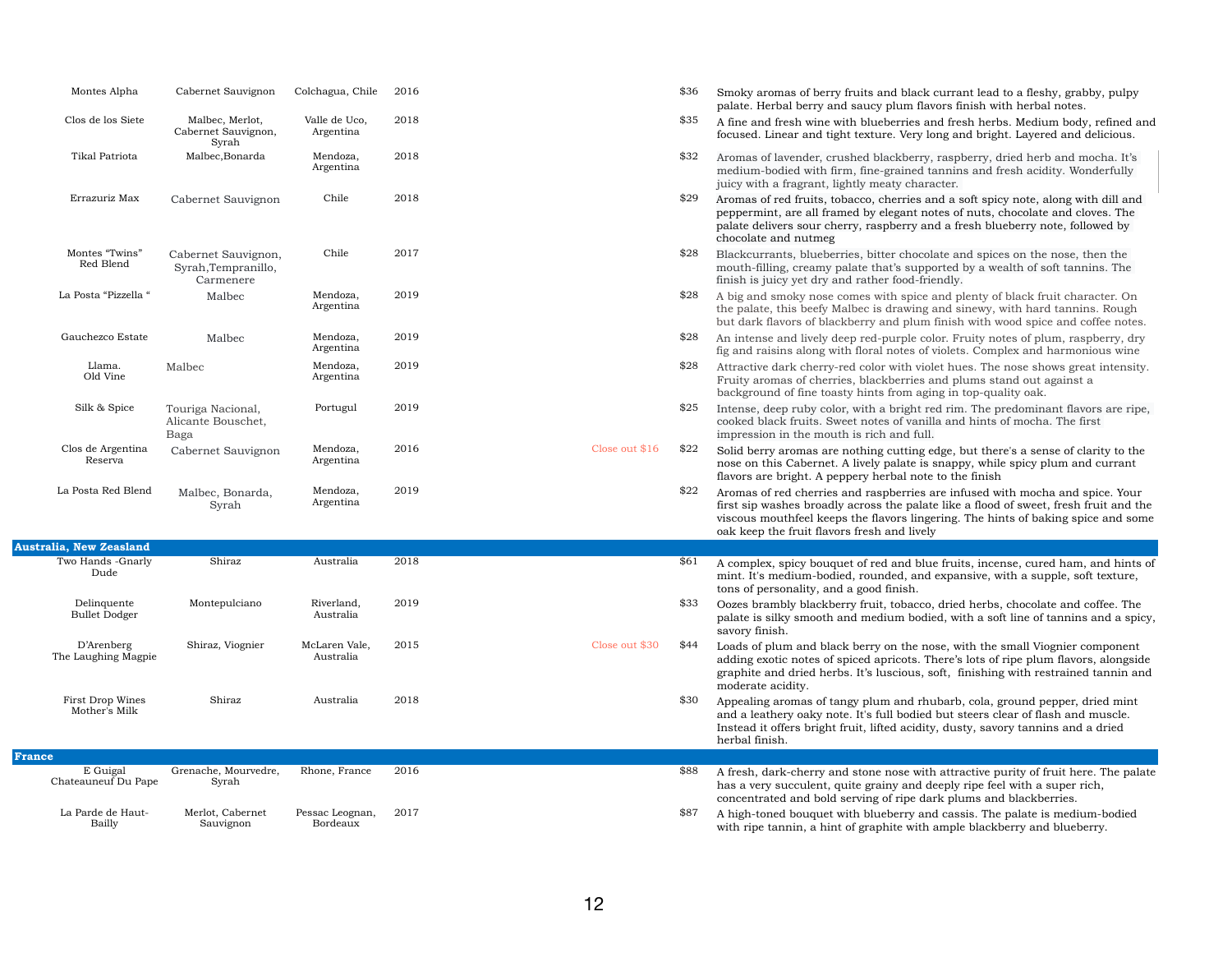|               | Montes Alpha                        | Cabernet Sauvignon                                      | Colchagua, Chile            | 2016 |                | \$36 | Smoky aromas of berry fruits and<br>palate. Herbal berry and saucy p                                                                               |
|---------------|-------------------------------------|---------------------------------------------------------|-----------------------------|------|----------------|------|----------------------------------------------------------------------------------------------------------------------------------------------------|
|               | Clos de los Siete                   | Malbec, Merlot,<br>Cabernet Sauvignon,<br>Syrah         | Valle de Uco,<br>Argentina  | 2018 |                | \$35 | A fine and fresh wine with bluebe<br>focused. Linear and tight texture                                                                             |
|               | Tikal Patriota                      | Malbec, Bonarda                                         | Mendoza,<br>Argentina       | 2018 |                | \$32 | Aromas of lavender, crushed blac<br>medium-bodied with firm, fine-gi<br>juicy with a fragrant, lightly mea                                         |
|               | Errazuriz Max                       | Cabernet Sauvignon                                      | Chile                       | 2018 |                | \$29 | Aromas of red fruits, tobacco, ch<br>peppermint, are all framed by ele<br>palate delivers sour cherry, raspl<br>chocolate and nutmeg               |
|               | Montes "Twins"<br>Red Blend         | Cabernet Sauvignon,<br>Syrah, Tempranillo,<br>Carmenere | Chile                       | 2017 |                | \$28 | Blackcurrants, blueberries, bitte:<br>mouth-filling, creamy palate that<br>finish is juicy yet dry and rather                                      |
|               | La Posta "Pizzella "                | Malbec                                                  | Mendoza,<br>Argentina       | 2019 |                | \$28 | A big and smoky nose comes with<br>the palate, this beefy Malbec is d<br>but dark flavors of blackberry an                                         |
|               | Gauchezco Estate                    | Malbec                                                  | Mendoza,<br>Argentina       | 2019 |                | \$28 | An intense and lively deep red-pu<br>fig and raisins along with floral n                                                                           |
|               | Llama.<br>Old Vine                  | Malbec                                                  | Mendoza,<br>Argentina       | 2019 |                | \$28 | Attractive dark cherry-red color y<br>Fruity aromas of cherries, blackb<br>background of fine toasty hints f                                       |
|               | Silk & Spice                        | Touriga Nacional,<br>Alicante Bouschet,<br>Baga         | Portugul                    | 2019 |                | \$25 | Intense, deep ruby color, with a l<br>cooked black fruits. Sweet notes<br>impression in the mouth is rich a                                        |
|               | Clos de Argentina<br>Reserva        | Cabernet Sauvignon                                      | Mendoza,<br>Argentina       | 2016 | Close out \$16 | \$22 | Solid berry aromas are nothing o<br>nose on this Cabernet. A lively pa<br>flavors are bright. A peppery her                                        |
|               | La Posta Red Blend                  | Malbec, Bonarda,<br>Syrah                               | Mendoza,<br>Argentina       | 2019 |                | \$22 | Aromas of red cherries and raspl<br>first sip washes broadly across tl<br>viscous mouthfeel keeps the flave<br>oak keep the fruit flavors fresh as |
|               | Australia, New Zeasland             |                                                         |                             |      |                |      |                                                                                                                                                    |
|               | Two Hands -Gnarly<br>Dude           | Shiraz                                                  | Australia                   | 2018 |                | \$61 | A complex, spicy bouquet of red<br>mint. It's medium-bodied, round<br>tons of personality, and a good fi                                           |
|               | Delinquente<br><b>Bullet Dodger</b> | Montepulciano                                           | Riverland,<br>Australia     | 2019 |                | \$33 | Oozes brambly blackberry fruit,<br>palate is silky smooth and mediu<br>savory finish.                                                              |
|               | D'Arenberg<br>The Laughing Magpie   | Shiraz, Viognier                                        | McLaren Vale,<br>Australia  | 2015 | Close out \$30 | \$44 | Loads of plum and black berry of<br>adding exotic notes of spiced apr<br>graphite and dried herbs. It's lus<br>moderate acidity.                   |
|               | First Drop Wines<br>Mother's Milk   | Shiraz                                                  | Australia                   | 2018 |                | \$30 | Appealing aromas of tangy plum<br>and a leathery oaky note. It's full<br>Instead it offers bright fruit, lifted<br>herbal finish.                  |
| <b>France</b> |                                     | Grenache, Mourvedre,                                    | Rhone, France               | 2016 |                |      |                                                                                                                                                    |
|               | E Guigal<br>Chateauneuf Du Pape     | Syrah                                                   |                             |      |                | \$88 | A fresh, dark-cherry and stone n<br>has a very succulent, quite grain<br>concentrated and bold serving of                                          |
|               | La Parde de Haut-<br>Bailly         | Merlot, Cabernet<br>Sauvignon                           | Pessac Leognan,<br>Bordeaux | 2017 |                | \$87 | A high-toned bouquet with blueb<br>with ripe tannin, a hint of graphi                                                                              |

**France**

- d black currant lead to a fleshy, grabby, pulpy plum flavors finish with herbal notes.
- erries and fresh herbs. Medium body, refined and e. Very long and bright. Layered and delicious.
- ckberry, raspberry, dried herb and mocha. It's rained tannins and fresh acidity. Wonderfully ty character.
- erries and a soft spicy note, along with dill and egant notes of nuts, chocolate and cloves. The berry and a fresh blueberry note, followed by
- r chocolate and spices on the nose, then the t's supported by a wealth of soft tannins. The food-friendly.
- h spice and plenty of black fruit character. On trawing and sinewy, with hard tannins. Rough d plum finish with wood spice and coffee notes.
- urple color. Fruity notes of plum, raspberry, dry notes of violets. Complex and harmonious wine
- with violet hues. The nose shows great intensity. berries and plums stand out against a from aging in top-quality oak.
- bright red rim. The predominant flavors are ripe, of vanilla and hints of mocha. The first and full.
- cutting edge, but there's a sense of clarity to the alate is snappy, while spicy plum and currant bal note to the finish
- berries are infused with mocha and spice. Your he palate like a flood of sweet, fresh fruit and the ors lingering. The hints of baking spice and some nd lively
- and blue fruits, incense, cured ham, and hints of ed, and expansive, with a supple, soft texture, inish.
- tobacco, dried herbs, chocolate and coffee. The am bodied, with a soft line of tannins and a spicy,
- n the nose, with the small Viognier component ricots. There's lots of ripe plum flavors, alongside scious, soft, finishing with restrained tannin and
- and rhubarb, cola, ground pepper, dried mint bodied but steers clear of flash and muscle. d acidity, dusty, savory tannins and a dried
- hose with attractive purity of fruit here. The palate has a very and deeply ripe feel with a super rich, ripe dark plums and blackberries.
- berry and cassis. The palate is medium-bodied ite with ample blackberry and blueberry.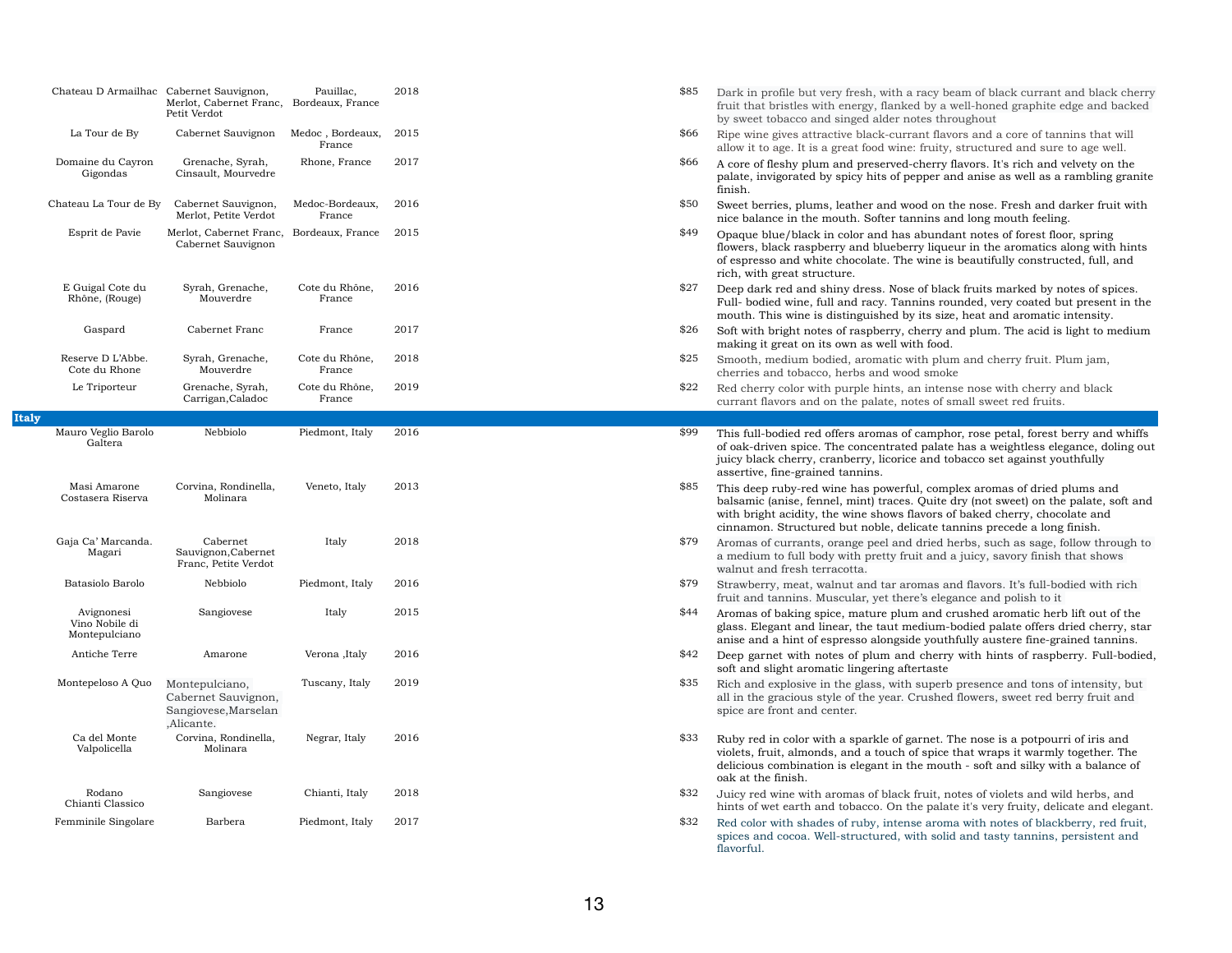|              | Chateau D Armailhac                           | Cabernet Sauvignon,<br>Merlot, Cabernet Franc,<br>Petit Verdot              | Pauillac,<br>Bordeaux, France | 2018 | \$85 | Dark in profile but very fresh, w<br>fruit that bristles with energy, fl<br>by sweet tobacco and singed ald                                     |
|--------------|-----------------------------------------------|-----------------------------------------------------------------------------|-------------------------------|------|------|-------------------------------------------------------------------------------------------------------------------------------------------------|
|              | La Tour de By                                 | Cabernet Sauvignon                                                          | Medoc, Bordeaux,<br>France    | 2015 | \$66 | Ripe wine gives attractive black-<br>allow it to age. It is a great food                                                                        |
|              | Domaine du Cayron<br>Gigondas                 | Grenache, Syrah,<br>Cinsault, Mourvedre                                     | Rhone, France                 | 2017 | \$66 | A core of fleshy plum and preser<br>palate, invigorated by spicy hits<br>finish.                                                                |
|              | Chateau La Tour de By                         | Cabernet Sauvignon,<br>Merlot, Petite Verdot                                | Medoc-Bordeaux,<br>France     | 2016 | \$50 | Sweet berries, plums, leather are<br>nice balance in the mouth. Softe                                                                           |
|              | Esprit de Pavie                               | Merlot, Cabernet Franc,<br>Cabernet Sauvignon                               | Bordeaux, France              | 2015 | \$49 | Opaque blue/black in color and<br>flowers, black raspberry and blu<br>of espresso and white chocolate<br>rich, with great structure.            |
|              | E Guigal Cote du<br>Rhône, (Rouge)            | Syrah, Grenache,<br>Mouverdre                                               | Cote du Rhône,<br>France      | 2016 | \$27 | Deep dark red and shiny dress.<br>Full-bodied wine, full and racy.<br>mouth. This wine is distinguish                                           |
|              | Gaspard                                       | Cabernet Franc                                                              | France                        | 2017 | \$26 | Soft with bright notes of raspber<br>making it great on its own as we                                                                           |
|              | Reserve D L'Abbe.<br>Cote du Rhone            | Syrah, Grenache,<br>Mouverdre                                               | Cote du Rhône,<br>France      | 2018 | \$25 | Smooth, medium bodied, aroma<br>cherries and tobacco, herbs and                                                                                 |
|              | Le Triporteur                                 | Grenache, Syrah,<br>Carrigan, Caladoc                                       | Cote du Rhône,<br>France      | 2019 | \$22 | Red cherry color with purple hir<br>currant flavors and on the palat                                                                            |
| <b>Italy</b> |                                               |                                                                             |                               |      |      |                                                                                                                                                 |
|              | Mauro Veglio Barolo<br>Galtera                | Nebbiolo                                                                    | Piedmont, Italy               | 2016 | \$99 | This full-bodied red offers aroma<br>of oak-driven spice. The concent<br>juicy black cherry, cranberry, lio<br>assertive, fine-grained tannins. |
|              | Masi Amarone<br>Costasera Riserva             | Corvina, Rondinella,<br>Molinara                                            | Veneto, Italy                 | 2013 | \$85 | This deep ruby-red wine has po<br>balsamic (anise, fennel, mint) tr<br>with bright acidity, the wine sho<br>cinnamon. Structured but noble      |
|              | Gaja Ca' Marcanda.<br>Magari                  | Cabernet<br>Sauvignon, Cabernet<br>Franc, Petite Verdot                     | Italy                         | 2018 | \$79 | Aromas of currants, orange peel<br>a medium to full body with pret<br>walnut and fresh terracotta.                                              |
|              | Batasiolo Barolo                              | Nebbiolo                                                                    | Piedmont, Italy               | 2016 | \$79 | Strawberry, meat, walnut and ta<br>fruit and tannins. Muscular, yet                                                                             |
|              | Avignonesi<br>Vino Nobile di<br>Montepulciano | Sangiovese                                                                  | Italy                         | 2015 | \$44 | Aromas of baking spice, mature<br>glass. Elegant and linear, the ta<br>anise and a hint of espresso alor                                        |
|              | Antiche Terre                                 | Amarone                                                                     | Verona , Italy                | 2016 | \$42 | Deep garnet with notes of plum<br>soft and slight aromatic lingerin                                                                             |
|              | Montepeloso A Quo                             | Montepulciano,<br>Cabernet Sauvignon,<br>Sangiovese, Marselan<br>,Alicante. | Tuscany, Italy                | 2019 | \$35 | Rich and explosive in the glass,<br>all in the gracious style of the ye<br>spice are front and center.                                          |
|              | Ca del Monte<br>Valpolicella                  | Corvina, Rondinella,<br>Molinara                                            | Negrar, Italy                 | 2016 | \$33 | Ruby red in color with a sparkle<br>violets, fruit, almonds, and a tou<br>delicious combination is elegant<br>oak at the finish.                |
|              | Rodano<br>Chianti Classico                    | Sangiovese                                                                  | Chianti, Italy                | 2018 | \$32 | Juicy red wine with aromas of b<br>hints of wet earth and tobacco.                                                                              |
|              | Femminile Singolare                           | Barbera                                                                     | Piedmont, Italy               | 2017 | \$32 | Red color with shades of ruby, in<br>spices and cocoa. Well-structure<br>flavorful.                                                             |

- zith a racy beam of black currant and black cherry lanked by a well-honed graphite edge and backed der notes throughout
- -currant flavors and a core of tannins that will wine: fruity, structured and sure to age well.
- rved-cherry flavors. It's rich and velvety on the of pepper and anise as well as a rambling granite
- nd wood on the nose. Fresh and darker fruit with er tannins and long mouth feeling.
- has abundant notes of forest floor, spring reflowers along with hints and blue aromatics along with hints The wine is beautifully constructed, full, and
- Nose of black fruits marked by notes of spices. Full- bodied winded, wery coated but present in the ed by its size, heat and aromatic intensity.
- rry, cherry and plum. The acid is light to medium. ell with food.
- atic with plum and cherry fruit. Plum jam, wood smoke
- nts, an intense nose with cherry and black te, notes of small sweet red fruits.

as of camphor, rose petal, forest berry and whiffs trated palate has a weightless elegance, doling out corice and tobacco set against youthfully

- werful, complex aromas of dried plums and aces. Quite dry (not sweet) on the palate, soft and bright acids bright acids wine shows flavors of baked cherry, chocolate and e, delicate tannins precede a long finish. and dried herbs, such as sage, follow through to
- ty fruit and a juicy, savory finish that shows
- ar aromas and flavors. It's full-bodied with rich there's elegance and polish to it
- plum and crushed aromatic herb lift out of the ut medium-bodied palate offers dried cherry, star ngside youthfully austere fine-grained tannins. n and cherry with hints of raspberry. Full-bodied, ig aftertaste
- with superb presence and tons of intensity, but ear. Crushed flowers, sweet red berry fruit and
- of garnet. The nose is a potpourri of iris and uch of spice that wraps it warmly together. The in the mouth - soft and silky with a balance of
- black fruit, notes of violets and wild herbs, and On the palate it's very fruity, delicate and elegant. ntense aroma with notes of blackberry, red fruit, ed, with solid and tasty tannins, persistent and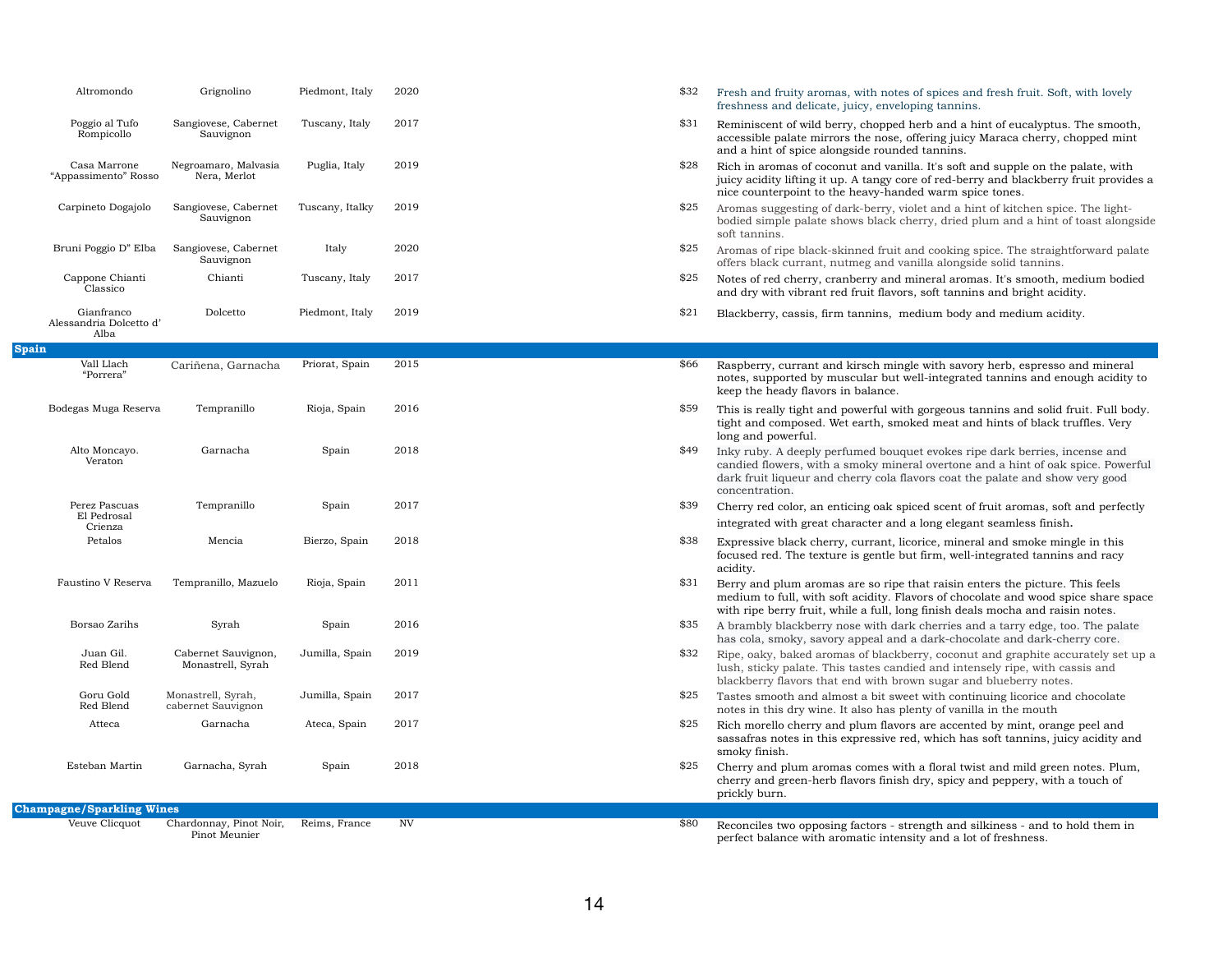| Altromondo                                    | Grignolino                               | Piedmont, Italy | 2020      | \$32<br>Fresh and fruity aromas, with notes of spices and fresh fruit. Soft,<br>freshness and delicate, juicy, enveloping tannins.                                                                                                       |
|-----------------------------------------------|------------------------------------------|-----------------|-----------|------------------------------------------------------------------------------------------------------------------------------------------------------------------------------------------------------------------------------------------|
| Poggio al Tufo<br>Rompicollo                  | Sangiovese, Cabernet<br>Sauvignon        | Tuscany, Italy  | 2017      | \$31<br>Reminiscent of wild berry, chopped herb and a hint of eucalyptus.<br>accessible palate mirrors the nose, offering juicy Maraca cherry, ch<br>and a hint of spice alongside rounded tannins.                                      |
| Casa Marrone<br>"Appassimento" Rosso          | Negroamaro, Malvasia<br>Nera, Merlot     | Puglia, Italy   | 2019      | \$28<br>Rich in aromas of coconut and vanilla. It's soft and supple on the p<br>juicy acidity lifting it up. A tangy core of red-berry and blackberry<br>nice counterpoint to the heavy-handed warm spice tones.                         |
| Carpineto Dogajolo                            | Sangiovese, Cabernet<br>Sauvignon        | Tuscany, Italky | 2019      | \$25<br>Aromas suggesting of dark-berry, violet and a hint of kitchen spice<br>bodied simple palate shows black cherry, dried plum and a hint of<br>soft tannins.                                                                        |
| Bruni Poggio D" Elba                          | Sangiovese, Cabernet<br>Sauvignon        | Italy           | 2020      | \$25<br>Aromas of ripe black-skinned fruit and cooking spice. The straight<br>offers black currant, nutmeg and vanilla alongside solid tannins.                                                                                          |
| Cappone Chianti<br>Classico                   | Chianti                                  | Tuscany, Italy  | 2017      | \$25<br>Notes of red cherry, cranberry and mineral aromas. It's smooth, m<br>and dry with vibrant red fruit flavors, soft tannins and bright acidi                                                                                       |
| Gianfranco<br>Alessandria Dolcetto d'<br>Alba | Dolcetto                                 | Piedmont, Italy | 2019      | \$21<br>Blackberry, cassis, firm tannins, medium body and medium acidi                                                                                                                                                                   |
| <b>Spain</b>                                  |                                          |                 |           |                                                                                                                                                                                                                                          |
| Vall Llach<br>"Porrera"                       | Cariñena, Garnacha                       | Priorat, Spain  | 2015      | \$66<br>Raspberry, currant and kirsch mingle with savory herb, espresso a<br>notes, supported by muscular but well-integrated tannins and eno<br>keep the heady flavors in balance.                                                      |
| Bodegas Muga Reserva                          | Tempranillo                              | Rioja, Spain    | 2016      | \$59<br>This is really tight and powerful with gorgeous tannins and solid fr<br>tight and composed. Wet earth, smoked meat and hints of black tr<br>long and powerful.                                                                   |
| Alto Moncayo.<br>Veraton                      | Garnacha                                 | Spain           | 2018      | \$49<br>Inky ruby. A deeply perfumed bouquet evokes ripe dark berries, in<br>candied flowers, with a smoky mineral overtone and a hint of oak a<br>dark fruit liqueur and cherry cola flavors coat the palate and show<br>concentration. |
| Perez Pascuas                                 | Tempranillo                              | Spain           | 2017      | \$39<br>Cherry red color, an enticing oak spiced scent of fruit aromas, soft                                                                                                                                                             |
| El Pedrosal<br>Crienza                        |                                          |                 |           | integrated with great character and a long elegant seamless finish.                                                                                                                                                                      |
| Petalos                                       | Mencia                                   | Bierzo, Spain   | 2018      | \$38<br>Expressive black cherry, currant, licorice, mineral and smoke ming<br>focused red. The texture is gentle but firm, well-integrated tannins<br>acidity.                                                                           |
| Faustino V Reserva                            | Tempranillo, Mazuelo                     | Rioja, Spain    | 2011      | \$31<br>Berry and plum aromas are so ripe that raisin enters the picture.<br>medium to full, with soft acidity. Flavors of chocolate and wood sp.<br>with ripe berry fruit, while a full, long finish deals mocha and raisi              |
| Borsao Zarihs                                 | Syrah                                    | Spain           | 2016      | \$35<br>A brambly blackberry nose with dark cherries and a tarry edge, to<br>has cola, smoky, savory appeal and a dark-chocolate and dark-che                                                                                            |
| Juan Gil.<br>Red Blend                        | Cabernet Sauvignon,<br>Monastrell, Syrah | Jumilla, Spain  | 2019      | \$32<br>Ripe, oaky, baked aromas of blackberry, coconut and graphite acc<br>lush, sticky palate. This tastes candied and intensely ripe, with car<br>blackberry flavors that end with brown sugar and blueberry notes.                   |
| Goru Gold<br>Red Blend                        | Monastrell, Syrah,<br>cabernet Sauvignon | Jumilla, Spain  | 2017      | \$25<br>Tastes smooth and almost a bit sweet with continuing licorice and<br>notes in this dry wine. It also has plenty of vanilla in the mouth                                                                                          |
| Atteca                                        | Garnacha                                 | Ateca, Spain    | 2017      | \$25<br>Rich morello cherry and plum flavors are accented by mint, orange<br>sassafras notes in this expressive red, which has soft tannins, juic<br>smoky finish.                                                                       |
| Esteban Martin                                | Garnacha, Syrah                          | Spain           | 2018      | \$25<br>Cherry and plum aromas comes with a floral twist and mild green<br>cherry and green-herb flavors finish dry, spicy and peppery, with a<br>prickly burn.                                                                          |
| <b>Champagne/Sparkling Wines</b>              |                                          |                 |           |                                                                                                                                                                                                                                          |
| Veuve Clicquot                                | Chardonnay, Pinot Noir,<br>Pinot Meunier | Reims, France   | <b>NV</b> | \$80<br>Reconciles two opposing factors - strength and silkiness - and to h<br>perfect balance with aromatic intensity and a lot of freshness.                                                                                           |

- tes of spices and fresh fruit. Soft, with lovely reloping tannins.
- ed herb and a hint of eucalyptus. The smooth, e, offering juicy Maraca cherry, chopped mint nded tannins.
- inilla. It's soft and supple on the palate, with core of red-berry and blackberry fruit provides a anded warm spice tones.
- violet and a hint of kitchen spice. The lightcherry, dried plum and a hint of toast alongside
- it and cooking spice. The straightforward palate vanilla alongside solid tannins.
- d mineral aromas. It's smooth, medium bodied vors, soft tannins and bright acidity.
- medium body and medium acidity.

ingle with savory herb, espresso and mineral t well-integrated tannins and enough acidity to

- with gorgeous tannins and solid fruit. Full body. moked meat and hints of black truffles. Very
- uquet evokes ripe dark berries, incense and ineral overtone and a hint of oak spice. Powerful flavors coat the palate and show very good
- spiced scent of fruit aromas, soft and perfectly
- licorice, mineral and smoke mingle in this but firm, well-integrated tannins and racy
- be that raisin enters the picture. This feels Flavors of chocolate and wood spice share space long finish deals mocha and raisin notes. dark cherries and a tarry edge, too. The palate
- nd a dark-chocolate and dark-cherry core.
- kberry, coconut and graphite accurately set up a Indied and intensely ripe, with cassis and brown sugar and blueberry notes.
- weet with continuing licorice and chocolate plenty of vanilla in the mouth
- vors are accented by mint, orange peel and red, which has soft tannins, juicy acidity and
- with a floral twist and mild green notes. Plum, ish dry, spicy and peppery, with a touch of

strength and silkiness - and to hold them in ensity and a lot of freshness.